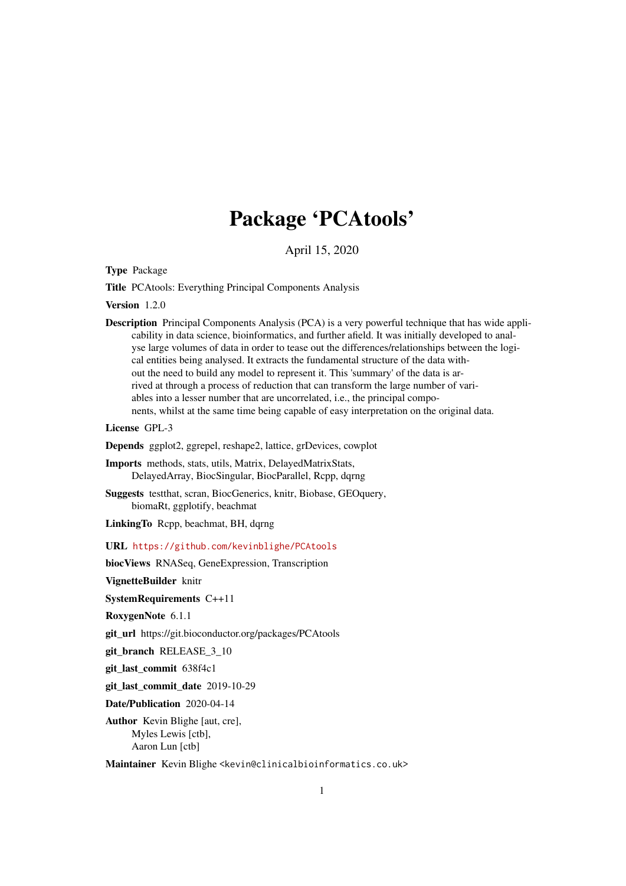## Package 'PCAtools'

April 15, 2020

<span id="page-0-0"></span>Type Package

Title PCAtools: Everything Principal Components Analysis

Version 1.2.0

Description Principal Components Analysis (PCA) is a very powerful technique that has wide applicability in data science, bioinformatics, and further afield. It was initially developed to analyse large volumes of data in order to tease out the differences/relationships between the logical entities being analysed. It extracts the fundamental structure of the data without the need to build any model to represent it. This 'summary' of the data is arrived at through a process of reduction that can transform the large number of variables into a lesser number that are uncorrelated, i.e., the principal components, whilst at the same time being capable of easy interpretation on the original data.

License GPL-3

Depends ggplot2, ggrepel, reshape2, lattice, grDevices, cowplot

Imports methods, stats, utils, Matrix, DelayedMatrixStats, DelayedArray, BiocSingular, BiocParallel, Rcpp, dqrng

Suggests testthat, scran, BiocGenerics, knitr, Biobase, GEOquery, biomaRt, ggplotify, beachmat

LinkingTo Rcpp, beachmat, BH, dqrng

URL <https://github.com/kevinblighe/PCAtools>

biocViews RNASeq, GeneExpression, Transcription

VignetteBuilder knitr

SystemRequirements C++11

RoxygenNote 6.1.1

git\_url https://git.bioconductor.org/packages/PCAtools

git branch RELEASE 3 10

git\_last\_commit 638f4c1

git\_last\_commit\_date 2019-10-29

Date/Publication 2020-04-14

Author Kevin Blighe [aut, cre], Myles Lewis [ctb], Aaron Lun [ctb]

Maintainer Kevin Blighe <kevin@clinicalbioinformatics.co.uk>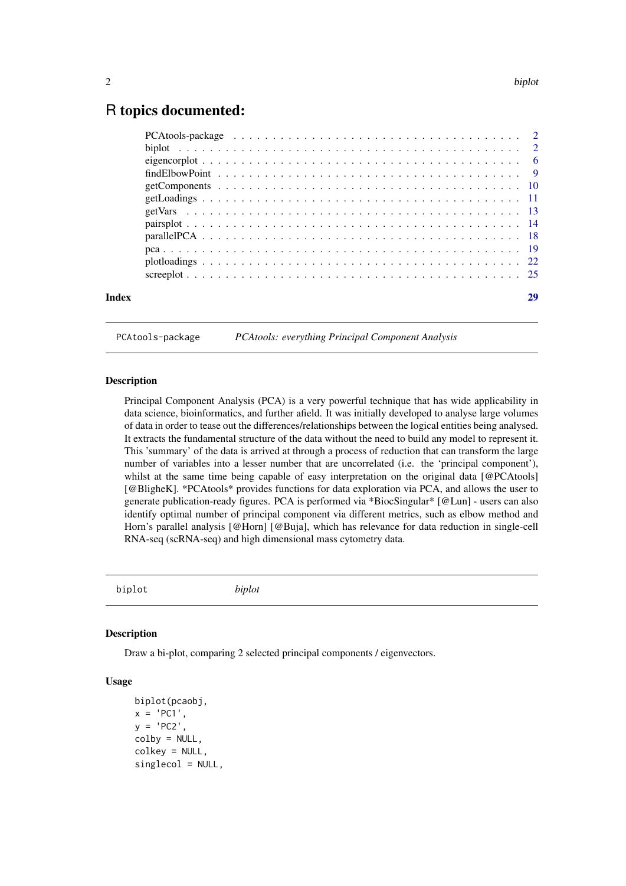## <span id="page-1-0"></span>R topics documented:

| Index |  |
|-------|--|

PCAtools-package *PCAtools: everything Principal Component Analysis*

#### **Description**

Principal Component Analysis (PCA) is a very powerful technique that has wide applicability in data science, bioinformatics, and further afield. It was initially developed to analyse large volumes of data in order to tease out the differences/relationships between the logical entities being analysed. It extracts the fundamental structure of the data without the need to build any model to represent it. This 'summary' of the data is arrived at through a process of reduction that can transform the large number of variables into a lesser number that are uncorrelated (i.e. the 'principal component'), whilst at the same time being capable of easy interpretation on the original data [@PCAtools] [@BligheK]. \*PCAtools\* provides functions for data exploration via PCA, and allows the user to generate publication-ready figures. PCA is performed via \*BiocSingular\* [@Lun] - users can also identify optimal number of principal component via different metrics, such as elbow method and Horn's parallel analysis [@Horn] [@Buja], which has relevance for data reduction in single-cell RNA-seq (scRNA-seq) and high dimensional mass cytometry data.

biplot *biplot*

#### Description

Draw a bi-plot, comparing 2 selected principal components / eigenvectors.

```
biplot(pcaobj,
x = 'PC1',y = 'PC2',colby = NULL,
colkey = NULL,
singlecol = NULL,
```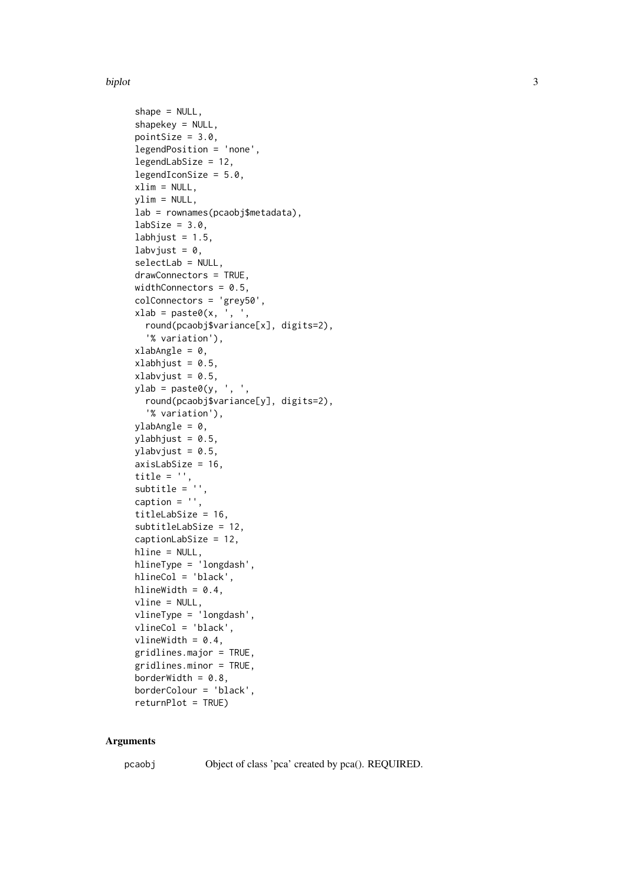#### biplot 3

```
shape = NULL,
shapekey = NULL,
pointSize = 3.0,
legendPosition = 'none',
legendLabSize = 12,
legendIconSize = 5.0,
xlim = NULL,
ylim = NULL,
lab = rownames(pcaobj$metadata),
labSize = 3.0,
labhjust = 1.5,
labvjust = 0,
selectLab = NULL,
drawConnectors = TRUE,
widthConnectors = 0.5,
colConnectors = 'grey50',
xlab = paste0(x, '', ',round(pcaobj$variance[x], digits=2),
  '% variation'),
xlabAngle = 0,
xlabhjust = 0.5,
xlabvjust = 0.5,
ylab = paste0(y, ', ',
  round(pcaobj$variance[y], digits=2),
  '% variation'),
ylabAngle = 0,
ylabhjust = 0.5,
ylabvjust = 0.5,
axisLabSize = 16,
title = '',
subtitle = 'caption = ',
titleLabSize = 16,
subtitleLabSize = 12,
captionLabSize = 12,
hline = NULL,
hlineType = 'longdash',
hlineCol = 'black',
hlineWidth = 0.4,
vline = NULL,
vlineType = 'longdash',
vlineCol = 'black',
vlineWidth = 0.4,
gridlines.major = TRUE,
gridlines.minor = TRUE,
borderWidth = 0.8,
borderColour = 'black',
returnPlot = TRUE)
```
#### Arguments

pcaobj Object of class 'pca' created by pca(). REQUIRED.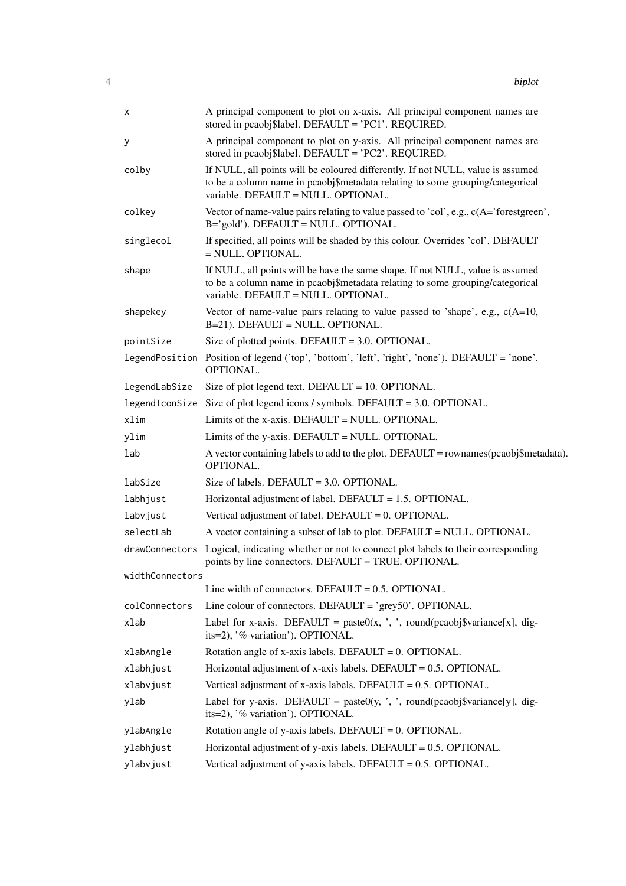| х               | A principal component to plot on x-axis. All principal component names are<br>stored in pcaobj\$label. DEFAULT = 'PC1'. REQUIRED.                                                                       |
|-----------------|---------------------------------------------------------------------------------------------------------------------------------------------------------------------------------------------------------|
| у               | A principal component to plot on y-axis. All principal component names are<br>stored in pcaobj\$label. DEFAULT = 'PC2'. REQUIRED.                                                                       |
| colby           | If NULL, all points will be coloured differently. If not NULL, value is assumed<br>to be a column name in pcaobj\$metadata relating to some grouping/categorical<br>variable. DEFAULT = NULL. OPTIONAL. |
| colkey          | Vector of name-value pairs relating to value passed to 'col', e.g., $c(A=')$ forestgreen',<br>B='gold'). DEFAULT = NULL. OPTIONAL.                                                                      |
| singlecol       | If specified, all points will be shaded by this colour. Overrides 'col'. DEFAULT<br>$=$ NULL. OPTIONAL.                                                                                                 |
| shape           | If NULL, all points will be have the same shape. If not NULL, value is assumed<br>to be a column name in pcaobj\$metadata relating to some grouping/categorical<br>variable. DEFAULT = NULL. OPTIONAL.  |
| shapekey        | Vector of name-value pairs relating to value passed to 'shape', e.g., $c(A=10,$<br>B=21). DEFAULT = NULL. OPTIONAL.                                                                                     |
| pointSize       | Size of plotted points. DEFAULT = $3.0$ . OPTIONAL.                                                                                                                                                     |
|                 | legendPosition Position of legend ('top', 'bottom', 'left', 'right', 'none'). DEFAULT = 'none'.<br>OPTIONAL.                                                                                            |
| legendLabSize   | Size of plot legend text. DEFAULT = $10$ . OPTIONAL.                                                                                                                                                    |
|                 | legendIconSize Size of plot legend icons / symbols. DEFAULT = 3.0. OPTIONAL.                                                                                                                            |
| xlim            | Limits of the x-axis. DEFAULT = NULL. OPTIONAL.                                                                                                                                                         |
| ylim            | Limits of the y-axis. DEFAULT = NULL. OPTIONAL.                                                                                                                                                         |
| lab             | A vector containing labels to add to the plot. DEFAULT = rownames(pcaobj\$metadata).<br>OPTIONAL.                                                                                                       |
| labSize         | Size of labels. DEFAULT = $3.0$ . OPTIONAL.                                                                                                                                                             |
| labhjust        | Horizontal adjustment of label. DEFAULT = 1.5. OPTIONAL.                                                                                                                                                |
| labvjust        | Vertical adjustment of label. DEFAULT = $0$ . OPTIONAL.                                                                                                                                                 |
| selectLab       | A vector containing a subset of lab to plot. DEFAULT = NULL. OPTIONAL.                                                                                                                                  |
| drawConnectors  | Logical, indicating whether or not to connect plot labels to their corresponding<br>points by line connectors. DEFAULT = TRUE. OPTIONAL.                                                                |
| widthConnectors |                                                                                                                                                                                                         |
|                 | Line width of connectors. DEFAULT = $0.5$ . OPTIONAL.                                                                                                                                                   |
| colConnectors   | Line colour of connectors. DEFAULT = $\text{°grey50}$ . OPTIONAL.                                                                                                                                       |
| xlab            | Label for x-axis. DEFAULT = paste0(x, ', ', round(pcaobj\$variance[x], dig-<br>its=2), '% variation'). OPTIONAL.                                                                                        |
| xlabAngle       | Rotation angle of x-axis labels. DEFAULT = $0$ . OPTIONAL.                                                                                                                                              |
| xlabhjust       | Horizontal adjustment of x-axis labels. DEFAULT = $0.5$ . OPTIONAL.                                                                                                                                     |
| xlabvjust       | Vertical adjustment of x-axis labels. DEFAULT = $0.5$ . OPTIONAL.                                                                                                                                       |
| ylab            | Label for y-axis. DEFAULT = paste0(y, ', ', round(pcaobj\$variance[y], dig-<br>its=2), '% variation'). OPTIONAL.                                                                                        |
| ylabAngle       | Rotation angle of y-axis labels. DEFAULT = $0$ . OPTIONAL.                                                                                                                                              |
| ylabhjust       | Horizontal adjustment of y-axis labels. DEFAULT = $0.5$ . OPTIONAL.                                                                                                                                     |
| ylabvjust       | Vertical adjustment of y-axis labels. DEFAULT = $0.5$ . OPTIONAL.                                                                                                                                       |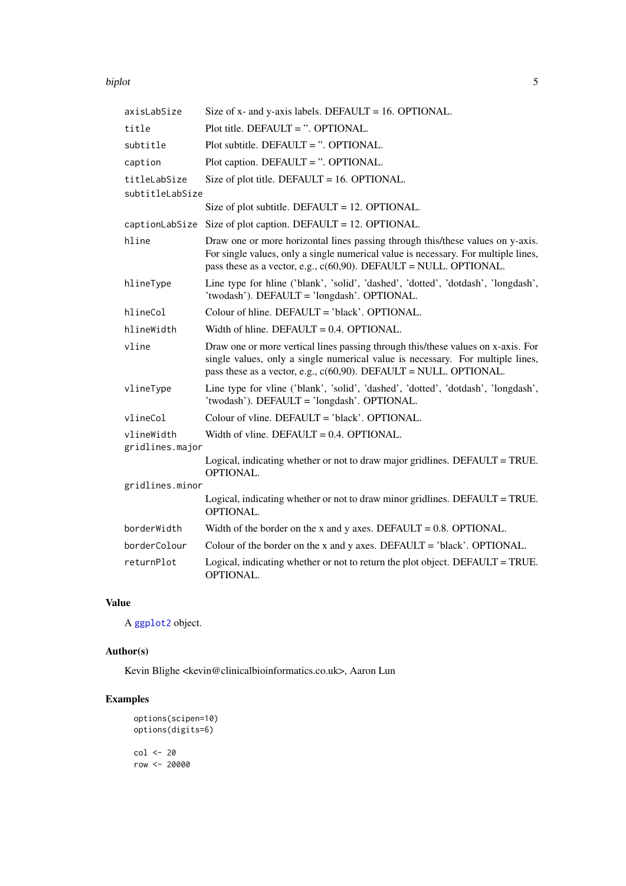#### <span id="page-4-0"></span>biplot 5

| axisLabSize                   | Size of $x$ - and $y$ -axis labels. DEFAULT = 16. OPTIONAL.                                                                                                                                                                                  |
|-------------------------------|----------------------------------------------------------------------------------------------------------------------------------------------------------------------------------------------------------------------------------------------|
| title                         | Plot title. DEFAULT = $\degree$ . OPTIONAL.                                                                                                                                                                                                  |
| subtitle                      | Plot subtitle. DEFAULT = $\degree$ . OPTIONAL.                                                                                                                                                                                               |
| caption                       | Plot caption. DEFAULT = ". OPTIONAL.                                                                                                                                                                                                         |
| titleLabSize                  | Size of plot title. DEFAULT = $16.$ OPTIONAL.                                                                                                                                                                                                |
| subtitleLabSize               |                                                                                                                                                                                                                                              |
|                               | Size of plot subtitle. DEFAULT = $12$ . OPTIONAL.                                                                                                                                                                                            |
| captionLabSize                | Size of plot caption. DEFAULT = $12$ . OPTIONAL.                                                                                                                                                                                             |
| hline                         | Draw one or more horizontal lines passing through this/these values on y-axis.<br>For single values, only a single numerical value is necessary. For multiple lines,<br>pass these as a vector, e.g., $c(60,90)$ . DEFAULT = NULL. OPTIONAL. |
| hlineType                     | Line type for hline ('blank', 'solid', 'dashed', 'dotted', 'dotdash', 'longdash',<br>'twodash'). DEFAULT = 'longdash'. OPTIONAL.                                                                                                             |
| hlineCol                      | Colour of hline. DEFAULT = 'black'. OPTIONAL.                                                                                                                                                                                                |
| hlineWidth                    | Width of hline. DEFAULT = $0.4$ . OPTIONAL.                                                                                                                                                                                                  |
| vline                         | Draw one or more vertical lines passing through this/these values on x-axis. For<br>single values, only a single numerical value is necessary. For multiple lines,<br>pass these as a vector, e.g., $c(60,90)$ . DEFAULT = NULL. OPTIONAL.   |
| vlineType                     | Line type for vline ('blank', 'solid', 'dashed', 'dotted', 'dotdash', 'longdash',<br>'twodash'). DEFAULT = 'longdash'. OPTIONAL.                                                                                                             |
| vlineCol                      | Colour of vline. DEFAULT = 'black'. OPTIONAL.                                                                                                                                                                                                |
| vlineWidth<br>gridlines.major | Width of vline. DEFAULT = $0.4$ . OPTIONAL.                                                                                                                                                                                                  |
|                               | Logical, indicating whether or not to draw major gridlines. DEFAULT = TRUE.<br>OPTIONAL.                                                                                                                                                     |
| gridlines.minor               |                                                                                                                                                                                                                                              |
|                               | Logical, indicating whether or not to draw minor gridlines. DEFAULT = TRUE.<br><b>OPTIONAL.</b>                                                                                                                                              |
| borderWidth                   | Width of the border on the x and y axes. DEFAULT = $0.8$ . OPTIONAL.                                                                                                                                                                         |
| borderColour                  | Colour of the border on the x and y axes. DEFAULT = $'black'$ . OPTIONAL.                                                                                                                                                                    |
| returnPlot                    | Logical, indicating whether or not to return the plot object. DEFAULT = TRUE.<br><b>OPTIONAL.</b>                                                                                                                                            |

## Value

A [ggplot2](#page-0-0) object.

## Author(s)

Kevin Blighe <kevin@clinicalbioinformatics.co.uk>, Aaron Lun

## Examples

options(scipen=10) options(digits=6) col <- 20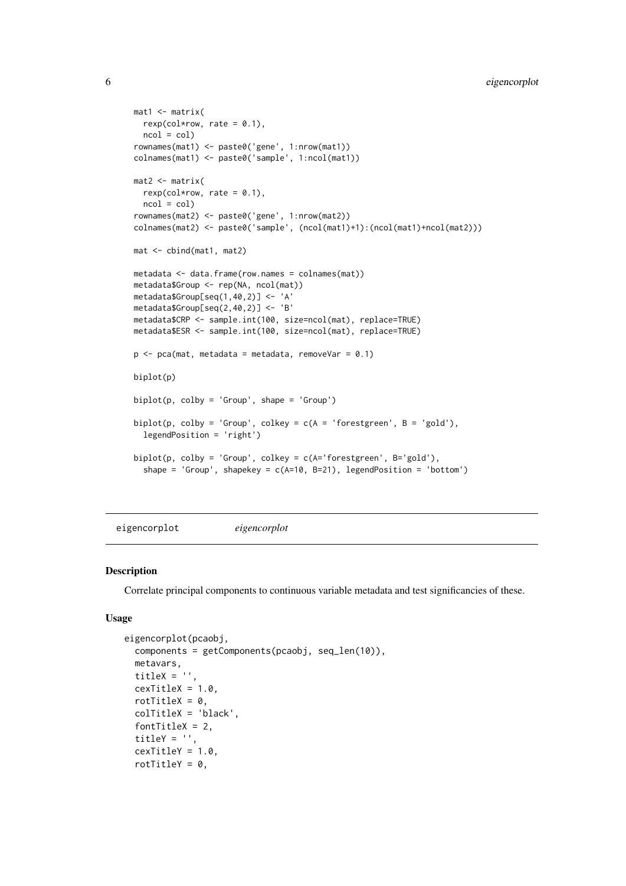```
mat1 <- matrix(
 rexp(col*row, rate = 0.1),
 ncol = colrownames(mat1) <- paste0('gene', 1:nrow(mat1))
colnames(mat1) <- paste0('sample', 1:ncol(mat1))
mat2 < -matrixrexp(col*row, rate = 0.1),
 ncol = colrownames(mat2) <- paste0('gene', 1:nrow(mat2))
colnames(mat2) <- paste0('sample', (ncol(mat1)+1):(ncol(mat1)+ncol(mat2)))
mat <- cbind(mat1, mat2)
metadata <- data.frame(row.names = colnames(mat))
metadata$Group <- rep(NA, ncol(mat))
metadata$Group[seq(1,40,2)] <- 'A'
metadata$Group[seq(2,40,2)] <- 'B'
metadata$CRP <- sample.int(100, size=ncol(mat), replace=TRUE)
metadata$ESR <- sample.int(100, size=ncol(mat), replace=TRUE)
p \le -pca(mat, metadata = metadata, removeVar = 0.1)biplot(p)
biplot(p, colby = 'Group', shape = 'Group')biplot(p, colby = 'Group', colkey = c(A = 'forestgreen', B = 'gold'),legendPosition = 'right')
biplot(p, colby = 'Group', colkey = c(A='forestgreen', B='gold').
  shape = 'Group', shapekey = c(A=10, B=21), legendPosition = 'bottom')
```
eigencorplot *eigencorplot*

#### Description

Correlate principal components to continuous variable metadata and test significancies of these.

```
eigencorplot(pcaobj,
  components = getComponents(pcaobj, seq_len(10)),
  metavars,
  titleX = ''.
  cexTitleX = 1.0,
  rotTitleX = 0,
  colTitleX = 'black',
  fontTitleX = 2,
  titleY = '',
  cexTitleY = 1.0,
  rotTitleY = 0,
```
<span id="page-5-0"></span>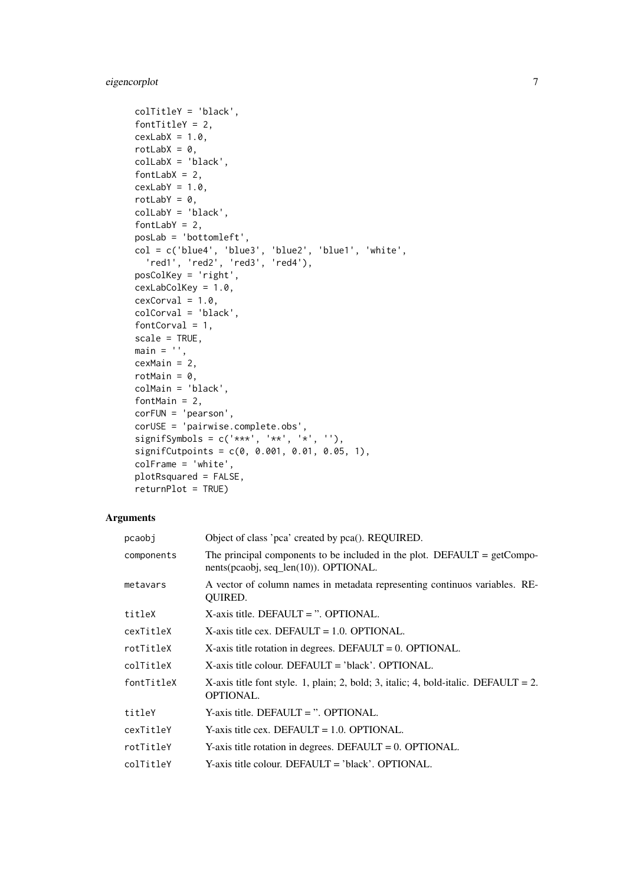## eigencorplot 7

```
colTitleY = 'black',
fontTitleY = 2,
cexLabX = 1.0,
rotLabX = 0,
colLabX = 'black',
fontLabX = 2,
cexLabY = 1.0,
rotLabY = 0,
colLabY = 'black',
fontLabY = 2,
posLab = 'bottomleft',
col = c('blue4', 'blue3', 'blue2', 'blue1', 'white',
 'red1', 'red2', 'red3', 'red4'),
posColKey = 'right',
cexLabColKey = 1.0,
cexCorval = 1.0,
colCorval = 'black',
fontCorval = 1,
scale = TRUE,
main = ''',cexMain = 2,
rotMain = 0,
colMain = 'black',
fontMain = 2,
corFUN = 'pearson',
corUSE = 'pairwise.complete.obs',
signifSymbols = c('***', '**', '*),
signifCutpoints = c(0, 0.001, 0.01, 0.05, 1),
colFrame = 'white',
plotRsquared = FALSE,
returnPlot = TRUE)
```
## Arguments

| pcaobi     | Object of class 'pca' created by pca(). REQUIRED.                                                                   |
|------------|---------------------------------------------------------------------------------------------------------------------|
| components | The principal components to be included in the plot. DEFAULT = $getCompo-$<br>nents(pcaobj, seq_len(10)). OPTIONAL. |
| metavars   | A vector of column names in metadata representing continuos variables. RE-<br><b>OUIRED.</b>                        |
| titleX     | $X$ -axis title. DEFAULT = ". OPTIONAL.                                                                             |
| cexTitleX  | $X$ -axis title cex. DEFAULT = 1.0. OPTIONAL.                                                                       |
| rotTitleX  | $X$ -axis title rotation in degrees. DEFAULT = 0. OPTIONAL.                                                         |
| colTitleX  | $X$ -axis title colour. DEFAULT = 'black'. OPTIONAL.                                                                |
| fontTitleX | X-axis title font style. 1, plain; 2, bold; 3, italic; 4, bold-italic. DEFAULT = 2.<br><b>OPTIONAL.</b>             |
| titleY     | $Y$ -axis title. DEFAULT = ". OPTIONAL.                                                                             |
| cexTitleY  | Y-axis title cex. DEFAULT = $1.0$ . OPTIONAL.                                                                       |
| rotTitleY  | Y-axis title rotation in degrees. DEFAULT = $0$ . OPTIONAL.                                                         |
| colTitleY  | Y-axis title colour. DEFAULT = 'black'. OPTIONAL.                                                                   |
|            |                                                                                                                     |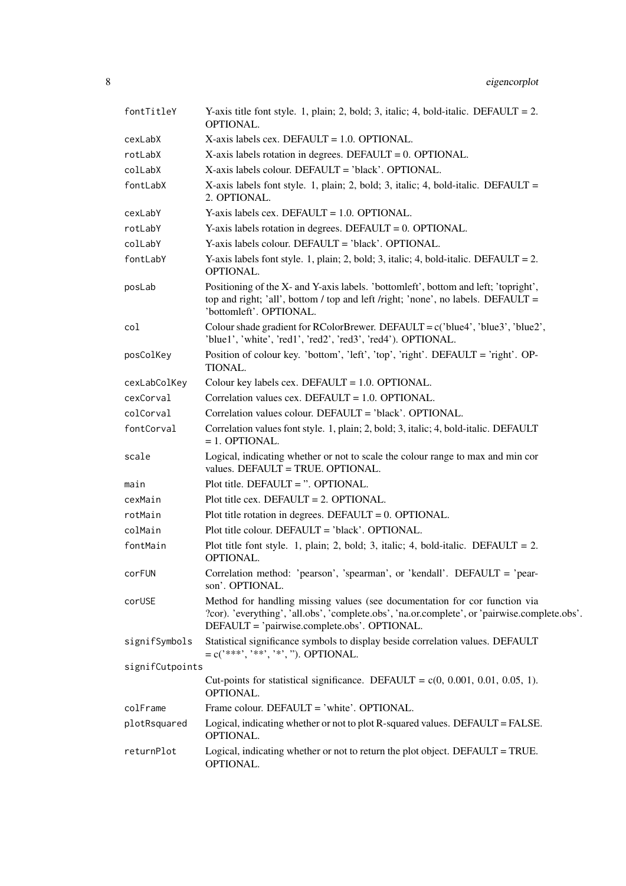| fontTitleY      | Y-axis title font style. 1, plain; 2, bold; 3, italic; 4, bold-italic. DEFAULT = 2.<br>OPTIONAL.                                                                                                                            |
|-----------------|-----------------------------------------------------------------------------------------------------------------------------------------------------------------------------------------------------------------------------|
| cexLabX         | $X$ -axis labels cex. DEFAULT = 1.0. OPTIONAL.                                                                                                                                                                              |
| rotLabX         | $X$ -axis labels rotation in degrees. DEFAULT = 0. OPTIONAL.                                                                                                                                                                |
| colLabX         | X-axis labels colour. DEFAULT = 'black'. OPTIONAL.                                                                                                                                                                          |
| fontLabX        | X-axis labels font style. 1, plain; 2, bold; 3, italic; 4, bold-italic. DEFAULT =<br>2. OPTIONAL.                                                                                                                           |
| cexLabY         | $Y$ -axis labels cex. DEFAULT = 1.0. OPTIONAL.                                                                                                                                                                              |
| rotLabY         | Y-axis labels rotation in degrees. DEFAULT = $0$ . OPTIONAL.                                                                                                                                                                |
| colLabY         | Y-axis labels colour. DEFAULT = 'black'. OPTIONAL.                                                                                                                                                                          |
| fontLabY        | Y-axis labels font style. 1, plain; 2, bold; 3, italic; 4, bold-italic. DEFAULT = 2.<br>OPTIONAL.                                                                                                                           |
| posLab          | Positioning of the X- and Y-axis labels. 'bottomleft', bottom and left; 'topright',<br>top and right; 'all', bottom / top and left /right; 'none', no labels. DEFAULT =<br>'bottomleft'. OPTIONAL.                          |
| col             | Colour shade gradient for RColorBrewer. DEFAULT = $c('blue4', 'blue3', 'blue2',$<br>'blue1', 'white', 'red1', 'red2', 'red3', 'red4'). OPTIONAL.                                                                            |
| posColKey       | Position of colour key. 'bottom', 'left', 'top', 'right'. DEFAULT = 'right'. OP-<br><b>TIONAL.</b>                                                                                                                          |
| cexLabColKey    | Colour key labels cex. DEFAULT = 1.0. OPTIONAL.                                                                                                                                                                             |
| cexCorval       | Correlation values cex. DEFAULT = $1.0$ . OPTIONAL.                                                                                                                                                                         |
| colCorval       | Correlation values colour. DEFAULT = 'black'. OPTIONAL.                                                                                                                                                                     |
| fontCorval      | Correlation values font style. 1, plain; 2, bold; 3, italic; 4, bold-italic. DEFAULT<br>$= 1.$ OPTIONAL.                                                                                                                    |
| scale           | Logical, indicating whether or not to scale the colour range to max and min cor<br>values. DEFAULT = TRUE. OPTIONAL.                                                                                                        |
| main            | Plot title. DEFAULT = $\degree$ . OPTIONAL.                                                                                                                                                                                 |
| cexMain         | Plot title cex. DEFAULT = $2$ . OPTIONAL.                                                                                                                                                                                   |
| rotMain         | Plot title rotation in degrees. DEFAULT = $0$ . OPTIONAL.                                                                                                                                                                   |
| colMain         | Plot title colour. DEFAULT = 'black'. OPTIONAL.                                                                                                                                                                             |
| fontMain        | Plot title font style. 1, plain; 2, bold; 3, italic; 4, bold-italic. DEFAULT = 2.<br>OPTIONAL.                                                                                                                              |
| corFUN          | Correlation method: 'pearson', 'spearman', or 'kendall'. DEFAULT = 'pear-<br>son'. OPTIONAL.                                                                                                                                |
| corUSE          | Method for handling missing values (see documentation for cor function via<br>?cor). 'everything', 'all.obs', 'complete.obs', 'na.or.complete', or 'pairwise.complete.obs'.<br>DEFAULT = 'pairwise.complete.obs'. OPTIONAL. |
| signifSymbols   | Statistical significance symbols to display beside correlation values. DEFAULT<br>$=c("***", "**", "*.")$ . OPTIONAL.                                                                                                       |
| signifCutpoints |                                                                                                                                                                                                                             |
|                 | Cut-points for statistical significance. DEFAULT = $c(0, 0.001, 0.01, 0.05, 1)$ .<br>OPTIONAL.                                                                                                                              |
| colFrame        | Frame colour. DEFAULT = 'white'. OPTIONAL.                                                                                                                                                                                  |
| plotRsquared    | Logical, indicating whether or not to plot R-squared values. DEFAULT = FALSE.<br>OPTIONAL.                                                                                                                                  |
| returnPlot      | Logical, indicating whether or not to return the plot object. DEFAULT = TRUE.<br>OPTIONAL.                                                                                                                                  |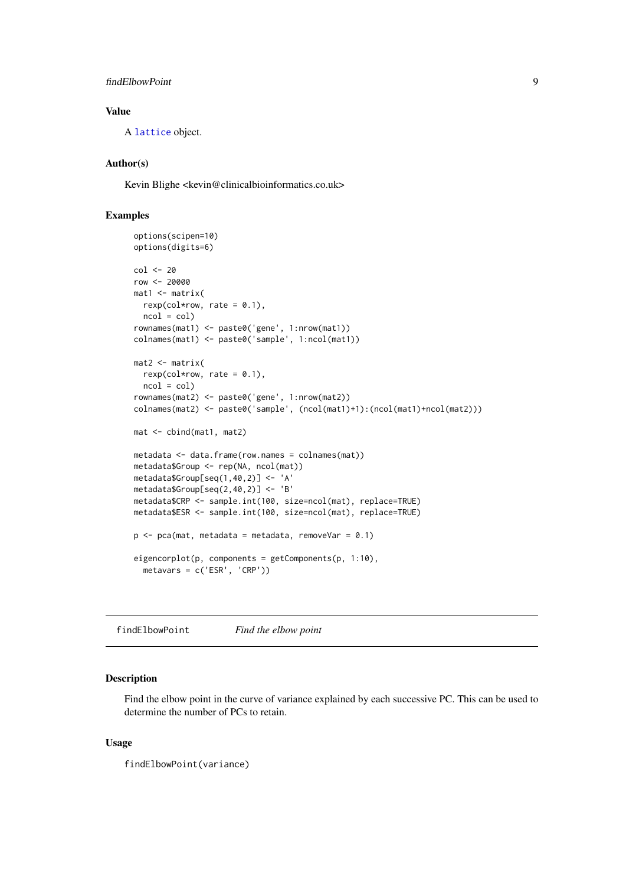<span id="page-8-0"></span>findElbowPoint 9

## Value

A [lattice](#page-0-0) object.

## Author(s)

Kevin Blighe <kevin@clinicalbioinformatics.co.uk>

## Examples

```
options(scipen=10)
options(digits=6)
col <- 20
row <- 20000
mat1 <- matrix(
 rexp(col*row, rate = 0.1),
 ncol = colrownames(mat1) <- paste0('gene', 1:nrow(mat1))
colnames(mat1) <- paste0('sample', 1:ncol(mat1))
mat2 <- matrix(
 rexp(col*row, rate = 0.1),
 ncol = colrownames(mat2) <- paste0('gene', 1:nrow(mat2))
colnames(mat2) <- paste0('sample', (ncol(mat1)+1):(ncol(mat1)+ncol(mat2)))
mat <- cbind(mat1, mat2)
metadata <- data.frame(row.names = colnames(mat))
metadata$Group <- rep(NA, ncol(mat))
metadata$Group[seq(1,40,2)] <- 'A'
metadata$Group[seq(2,40,2)] <- 'B'
metadata$CRP <- sample.int(100, size=ncol(mat), replace=TRUE)
metadata$ESR <- sample.int(100, size=ncol(mat), replace=TRUE)
p \leq -pca(mat, metadata = metadata, removeVar = 0.1)eigencorplot(p, components = getComponents(p, 1:10),
 metavars = c('ESR', 'CRP'))
```
findElbowPoint *Find the elbow point*

#### Description

Find the elbow point in the curve of variance explained by each successive PC. This can be used to determine the number of PCs to retain.

## Usage

findElbowPoint(variance)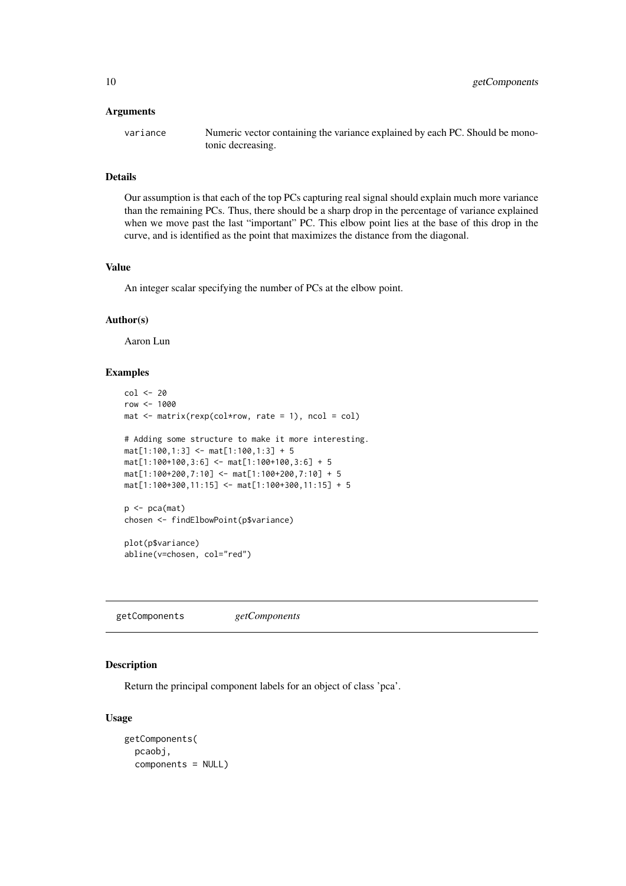#### <span id="page-9-0"></span>Arguments

| variance | Numeric vector containing the variance explained by each PC. Should be mono- |
|----------|------------------------------------------------------------------------------|
|          | tonic decreasing.                                                            |

## Details

Our assumption is that each of the top PCs capturing real signal should explain much more variance than the remaining PCs. Thus, there should be a sharp drop in the percentage of variance explained when we move past the last "important" PC. This elbow point lies at the base of this drop in the curve, and is identified as the point that maximizes the distance from the diagonal.

#### Value

An integer scalar specifying the number of PCs at the elbow point.

#### Author(s)

Aaron Lun

#### Examples

```
col <- 20
row <- 1000
mat < - matrix(rexp(col*row, rate = 1), ncol = col)# Adding some structure to make it more interesting.
mat[1:100,1:3] <- mat[1:100,1:3] + 5
mat[1:100+100,3:6] <- mat[1:100+100,3:6] + 5
mat[1:100+200,7:10] <- mat[1:100+200,7:10] + 5
mat[1:100+300,11:15] <- mat[1:100+300,11:15] + 5
p \leftarrow pca(mat)
```

```
chosen <- findElbowPoint(p$variance)
```
plot(p\$variance) abline(v=chosen, col="red")

getComponents *getComponents*

## Description

Return the principal component labels for an object of class 'pca'.

```
getComponents(
 pcaobj,
  components = NULL)
```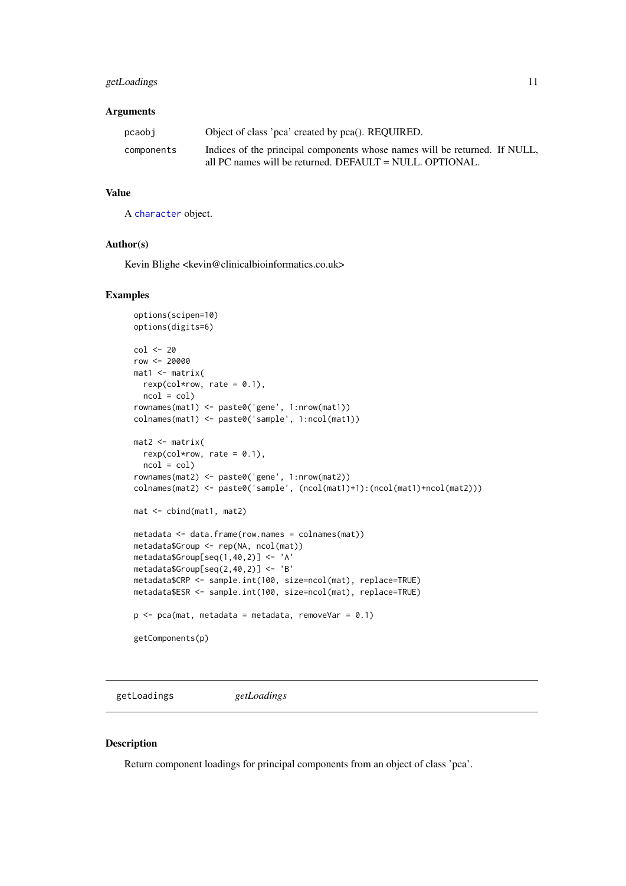#### <span id="page-10-0"></span>getLoadings 11

## Arguments

| pcaobi     | Object of class 'pca' created by pca(). REQUIRED.                                                                                         |  |
|------------|-------------------------------------------------------------------------------------------------------------------------------------------|--|
| components | Indices of the principal components whose names will be returned. If NULL,<br>all PC names will be returned. DEFAULT = $NULL$ . OPTIONAL. |  |

### Value

A [character](#page-0-0) object.

#### Author(s)

Kevin Blighe <kevin@clinicalbioinformatics.co.uk>

## Examples

```
options(scipen=10)
options(digits=6)
col <- 20
row <- 20000
mat1 <- matrix(
 rexp(col*row, rate = 0.1),
 ncol = colrownames(mat1) <- paste0('gene', 1:nrow(mat1))
colnames(mat1) <- paste0('sample', 1:ncol(mat1))
mat2 <- matrix(
 rexp(col*row, rate = 0.1),
 ncol = colrownames(mat2) <- paste0('gene', 1:nrow(mat2))
colnames(mat2) <- paste0('sample', (ncol(mat1)+1):(ncol(mat1)+ncol(mat2)))
mat <- cbind(mat1, mat2)
metadata <- data.frame(row.names = colnames(mat))
metadata$Group <- rep(NA, ncol(mat))
metadata$Group[seq(1,40,2)] <- 'A'
metadata$Group[seq(2,40,2)] <- 'B'
metadata$CRP <- sample.int(100, size=ncol(mat), replace=TRUE)
metadata$ESR <- sample.int(100, size=ncol(mat), replace=TRUE)
p \leq -pca(mat, metadata = metadata, removeVar = 0.1)getComponents(p)
```
getLoadings *getLoadings*

#### Description

Return component loadings for principal components from an object of class 'pca'.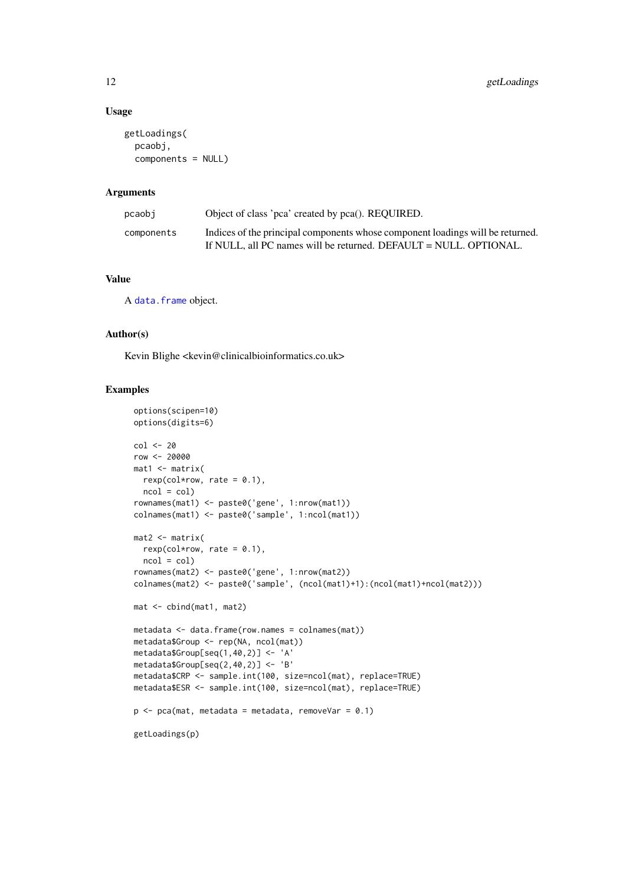#### Usage

```
getLoadings(
  pcaobj,
  components = NULL)
```
#### Arguments

| pcaobi     | Object of class 'pca' created by pca(). REOUIRED.                                                                                                   |
|------------|-----------------------------------------------------------------------------------------------------------------------------------------------------|
| components | Indices of the principal components whose component loadings will be returned.<br>If NULL, all PC names will be returned. DEFAULT = NULL. OPTIONAL. |

## Value

A [data.frame](#page-0-0) object.

## Author(s)

Kevin Blighe <kevin@clinicalbioinformatics.co.uk>

#### Examples

```
options(scipen=10)
options(digits=6)
col < -20row <- 20000
mat1 <- matrix(
 rexp(col*row, rate = 0.1),
 ncol = colrownames(mat1) <- paste0('gene', 1:nrow(mat1))
colnames(mat1) <- paste0('sample', 1:ncol(mat1))
mat2 < - matrix(rexp(col*row, rate = 0.1),
  ncol = colrownames(mat2) <- paste0('gene', 1:nrow(mat2))
colnames(mat2) <- paste0('sample', (ncol(mat1)+1):(ncol(mat1)+ncol(mat2)))
mat <- cbind(mat1, mat2)
metadata <- data.frame(row.names = colnames(mat))
metadata$Group <- rep(NA, ncol(mat))
metadata$Group[seq(1,40,2)] <- 'A'
metadata$Group[seq(2,40,2)] <- 'B'
metadata$CRP <- sample.int(100, size=ncol(mat), replace=TRUE)
metadata$ESR <- sample.int(100, size=ncol(mat), replace=TRUE)
p \leq -pca(mat, metadata = metadata, removeVar = 0.1)getLoadings(p)
```
<span id="page-11-0"></span>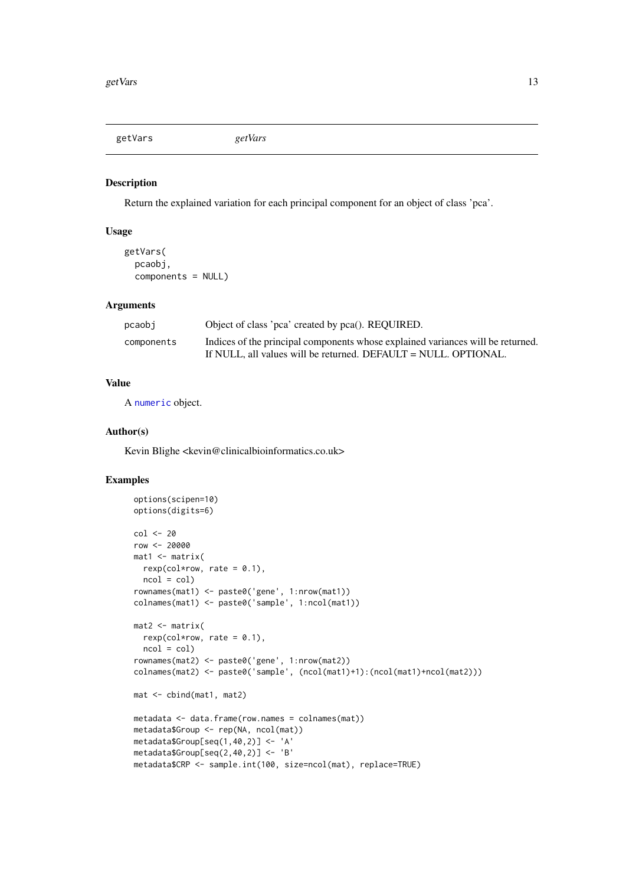<span id="page-12-0"></span>getVars *getVars*

#### Description

Return the explained variation for each principal component for an object of class 'pca'.

## Usage

```
getVars(
  pcaobj,
  components = NULL)
```
## Arguments

| pcaobi     | Object of class 'pca' created by pca(). REQUIRED.                               |
|------------|---------------------------------------------------------------------------------|
| components | Indices of the principal components whose explained variances will be returned. |
|            | If NULL, all values will be returned. DEFAULT = NULL. OPTIONAL.                 |

#### Value

A [numeric](#page-0-0) object.

## Author(s)

Kevin Blighe <kevin@clinicalbioinformatics.co.uk>

## Examples

```
options(scipen=10)
options(digits=6)
col <- 20
row <- 20000
mat1 <- matrix(
 rexp(col*row, rate = 0.1),
 ncol = colrownames(mat1) <- paste0('gene', 1:nrow(mat1))
colnames(mat1) <- paste0('sample', 1:ncol(mat1))
mat2 <- matrix(
 rexp(col*row, rate = 0.1),
 ncol = col)
rownames(mat2) <- paste0('gene', 1:nrow(mat2))
colnames(mat2) <- paste0('sample', (ncol(mat1)+1):(ncol(mat1)+ncol(mat2)))
mat <- cbind(mat1, mat2)
metadata <- data.frame(row.names = colnames(mat))
metadata$Group <- rep(NA, ncol(mat))
metadata$Group[seq(1,40,2)] <- 'A'
metadata$Group[seq(2,40,2)] <- 'B'
metadata$CRP <- sample.int(100, size=ncol(mat), replace=TRUE)
```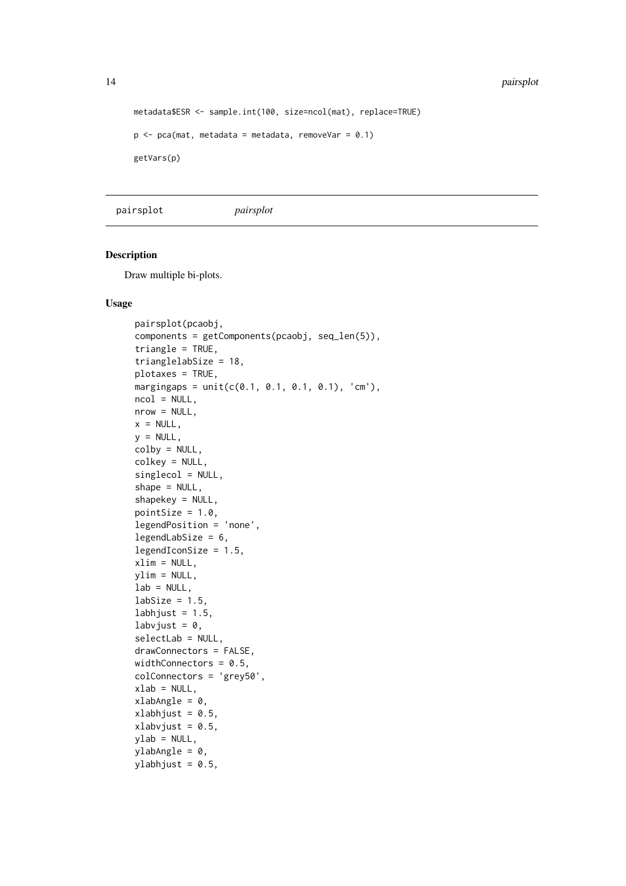```
metadata$ESR <- sample.int(100, size=ncol(mat), replace=TRUE)
p \leq -pca(mat, metadata = metadata, removeVar = 0.1)getVars(p)
```
pairsplot *pairsplot*

#### Description

Draw multiple bi-plots.

```
pairsplot(pcaobj,
components = getComponents(pcaobj, seq_len(5)),
triangle = TRUE,
trianglelabSize = 18,
plotaxes = TRUE,
margingaps = unit(c(0.1, 0.1, 0.1, 0.1), 'cm'),ncol = NULL,nrow = NULL,x = NULL,y = NULL,colby = NULL,
colkey = NULL,
singlecol = NULL,
shape = NULL,
shapekey = NULL,
pointSize = 1.0,
legendPosition = 'none',
legendLabSize = 6,
legendIconSize = 1.5,
xlim = NULL,ylim = NULL,lab = NULL.
labSize = 1.5,
labhjust = 1.5,
labvjust = 0,
selectLab = NULL,
drawConnectors = FALSE,
widthConnectors = 0.5,
colConnectors = 'grey50',
xlab = NULL,
xlabAngle = 0,
xlabhjust = 0.5,
xlabvjust = 0.5,
ylab = NULL,
ylabAngle = 0,
ylabhjust = 0.5,
```
<span id="page-13-0"></span>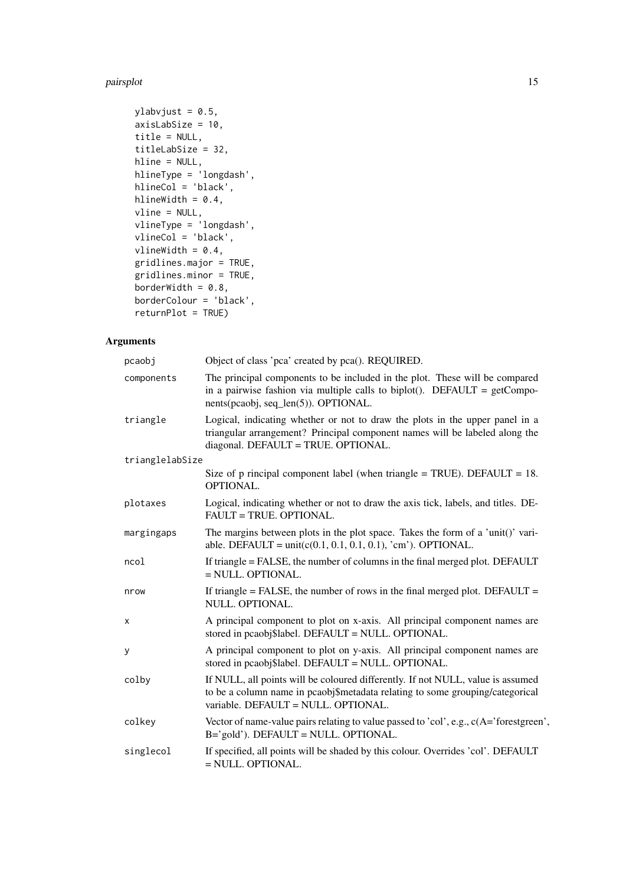#### pairsplot that the contract of the contract of the contract of the contract of the contract of the contract of the contract of the contract of the contract of the contract of the contract of the contract of the contract of

```
ylabvjust = 0.5,
axisLabSize = 10,
title = NULL,
titleLabSize = 32,
hline = NULL,
hlineType = 'longdash',
hlineCol = 'black',
hlineWidth = 0.4,
vline = NULL,
vlineType = 'longdash',
vlineCol = 'black',vlineWidth = 0.4,
gridlines.major = TRUE,
gridlines.minor = TRUE,
borderWidth = 0.8,
borderColour = 'black',
returnPlot = TRUE)
```
## Arguments

| pcaobj          | Object of class 'pca' created by pca(). REQUIRED.                                                                                                                                                       |
|-----------------|---------------------------------------------------------------------------------------------------------------------------------------------------------------------------------------------------------|
| components      | The principal components to be included in the plot. These will be compared<br>in a pairwise fashion via multiple calls to biplot(). DEFAULT = $getCompo-$<br>nents(pcaobj, seq_len(5)). OPTIONAL.      |
| triangle        | Logical, indicating whether or not to draw the plots in the upper panel in a<br>triangular arrangement? Principal component names will be labeled along the<br>diagonal. DEFAULT = TRUE. OPTIONAL.      |
| trianglelabSize |                                                                                                                                                                                                         |
|                 | Size of p rincipal component label (when triangle = TRUE). DEFAULT = $18$ .<br>OPTIONAL.                                                                                                                |
| plotaxes        | Logical, indicating whether or not to draw the axis tick, labels, and titles. DE-<br>FAULT = TRUE. OPTIONAL.                                                                                            |
| margingaps      | The margins between plots in the plot space. Takes the form of a 'unit()' vari-<br>able. DEFAULT = $unit(c(0.1, 0.1, 0.1, 0.1), 'cm')$ . OPTIONAL.                                                      |
| ncol            | If triangle = FALSE, the number of columns in the final merged plot. DEFAULT<br>$=$ NULL. OPTIONAL.                                                                                                     |
| nrow            | If triangle = FALSE, the number of rows in the final merged plot. DEFAULT =<br>NULL. OPTIONAL.                                                                                                          |
| x               | A principal component to plot on x-axis. All principal component names are<br>stored in pcaobj\$label. DEFAULT = NULL. OPTIONAL.                                                                        |
| y               | A principal component to plot on y-axis. All principal component names are<br>stored in pcaobj\$label. DEFAULT = NULL. OPTIONAL.                                                                        |
| colby           | If NULL, all points will be coloured differently. If not NULL, value is assumed<br>to be a column name in pcaobj\$metadata relating to some grouping/categorical<br>variable. DEFAULT = NULL. OPTIONAL. |
| colkey          | Vector of name-value pairs relating to value passed to 'col', e.g., c(A='forestgreen',<br>B='gold'). DEFAULT = NULL. OPTIONAL.                                                                          |
| singlecol       | If specified, all points will be shaded by this colour. Overrides 'col'. DEFAULT<br>$=$ NULL. OPTIONAL.                                                                                                 |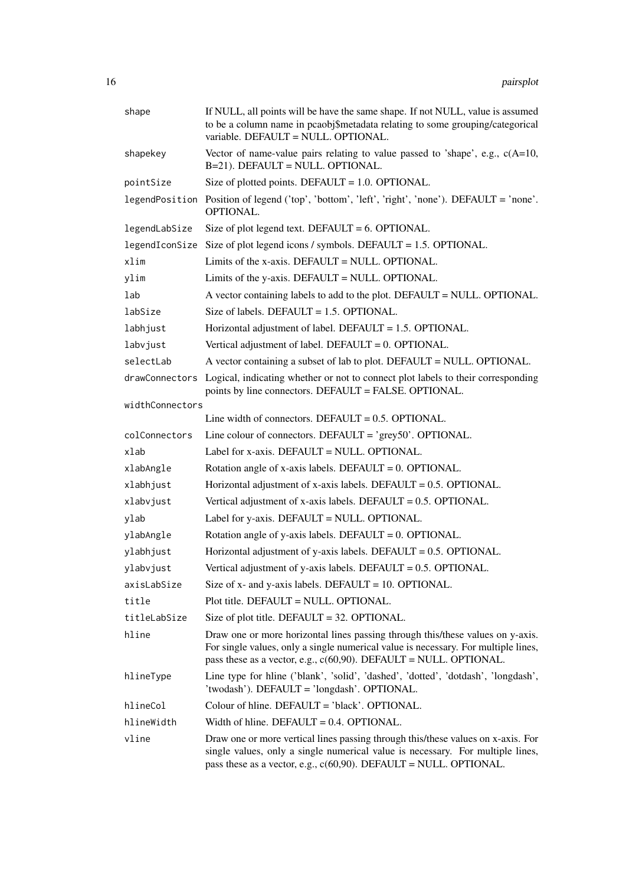| shape           | If NULL, all points will be have the same shape. If not NULL, value is assumed<br>to be a column name in pcaobj\$metadata relating to some grouping/categorical<br>variable. DEFAULT = NULL. OPTIONAL.                                       |
|-----------------|----------------------------------------------------------------------------------------------------------------------------------------------------------------------------------------------------------------------------------------------|
| shapekey        | Vector of name-value pairs relating to value passed to 'shape', e.g., $c(A=10,$<br>B=21). DEFAULT = NULL. OPTIONAL.                                                                                                                          |
| pointSize       | Size of plotted points. DEFAULT = $1.0$ . OPTIONAL.                                                                                                                                                                                          |
|                 | legendPosition Position of legend ('top', 'bottom', 'left', 'right', 'none'). DEFAULT = 'none'.<br>OPTIONAL.                                                                                                                                 |
| legendLabSize   | Size of plot legend text. DEFAULT = $6.$ OPTIONAL.                                                                                                                                                                                           |
|                 | legendIconSize Size of plot legend icons / symbols. DEFAULT = $1.5$ . OPTIONAL.                                                                                                                                                              |
| xlim            | Limits of the x-axis. DEFAULT = NULL. OPTIONAL.                                                                                                                                                                                              |
| ylim            | Limits of the y-axis. DEFAULT = NULL. OPTIONAL.                                                                                                                                                                                              |
| lab             | A vector containing labels to add to the plot. DEFAULT = NULL. OPTIONAL.                                                                                                                                                                     |
| labSize         | Size of labels. DEFAULT = $1.5$ . OPTIONAL.                                                                                                                                                                                                  |
| labhjust        | Horizontal adjustment of label. DEFAULT = 1.5. OPTIONAL.                                                                                                                                                                                     |
| labvjust        | Vertical adjustment of label. DEFAULT = $0$ . OPTIONAL.                                                                                                                                                                                      |
| selectLab       | A vector containing a subset of lab to plot. DEFAULT = NULL. OPTIONAL.                                                                                                                                                                       |
|                 | drawConnectors Logical, indicating whether or not to connect plot labels to their corresponding<br>points by line connectors. DEFAULT = FALSE. OPTIONAL.                                                                                     |
| widthConnectors |                                                                                                                                                                                                                                              |
|                 | Line width of connectors. DEFAULT = $0.5$ . OPTIONAL.                                                                                                                                                                                        |
| colConnectors   | Line colour of connectors. DEFAULT = $\text{°grey50}$ . OPTIONAL.                                                                                                                                                                            |
| xlab            | Label for x-axis. DEFAULT = NULL. OPTIONAL.                                                                                                                                                                                                  |
| xlabAngle       | Rotation angle of x-axis labels. DEFAULT = $0$ . OPTIONAL.                                                                                                                                                                                   |
| xlabhjust       | Horizontal adjustment of x-axis labels. DEFAULT = $0.5$ . OPTIONAL.                                                                                                                                                                          |
| xlabvjust       | Vertical adjustment of x-axis labels. DEFAULT = $0.5$ . OPTIONAL.                                                                                                                                                                            |
| vlab            | Label for y-axis. DEFAULT = NULL. OPTIONAL.                                                                                                                                                                                                  |
| ylabAngle       | Rotation angle of y-axis labels. DEFAULT = $0$ . OPTIONAL.                                                                                                                                                                                   |
| ylabhjust       | Horizontal adjustment of y-axis labels. DEFAULT = $0.5$ . OPTIONAL.                                                                                                                                                                          |
| ylabvjust       | Vertical adjustment of y-axis labels. DEFAULT = $0.5$ . OPTIONAL.                                                                                                                                                                            |
| axisLabSize     | Size of $x$ - and $y$ -axis labels. DEFAULT = 10. OPTIONAL.                                                                                                                                                                                  |
| title           | Plot title. DEFAULT = NULL. OPTIONAL.                                                                                                                                                                                                        |
| titleLabSize    | Size of plot title. DEFAULT = $32$ . OPTIONAL.                                                                                                                                                                                               |
| hline           | Draw one or more horizontal lines passing through this/these values on y-axis.<br>For single values, only a single numerical value is necessary. For multiple lines,<br>pass these as a vector, e.g., $c(60,90)$ . DEFAULT = NULL. OPTIONAL. |
| hlineType       | Line type for hline ('blank', 'solid', 'dashed', 'dotted', 'dotdash', 'longdash',<br>'twodash'). DEFAULT = 'longdash'. OPTIONAL.                                                                                                             |
| hlineCol        | Colour of hline. DEFAULT = 'black'. OPTIONAL.                                                                                                                                                                                                |
| hlineWidth      | Width of hline. DEFAULT = $0.4$ . OPTIONAL.                                                                                                                                                                                                  |
| vline           | Draw one or more vertical lines passing through this/these values on x-axis. For<br>single values, only a single numerical value is necessary. For multiple lines,<br>pass these as a vector, e.g., $c(60,90)$ . DEFAULT = NULL. OPTIONAL.   |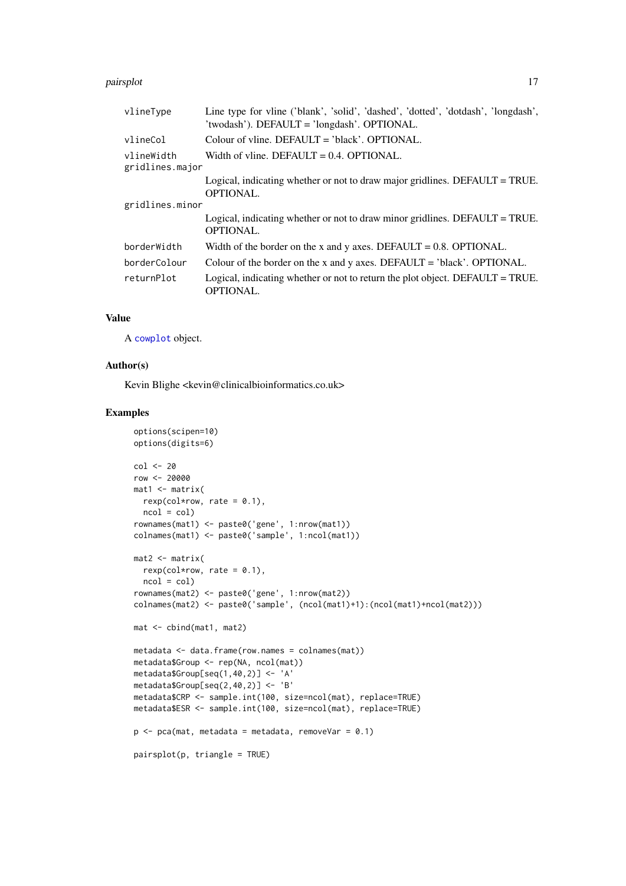#### <span id="page-16-0"></span>pairsplot that the contract of the contract of the contract of the contract of the contract of the contract of the contract of the contract of the contract of the contract of the contract of the contract of the contract of

| vlineType                     | Line type for vline ('blank', 'solid', 'dashed', 'dotted', 'dotdash', 'longdash',<br>'twodash'). DEFAULT = 'longdash'. OPTIONAL. |
|-------------------------------|----------------------------------------------------------------------------------------------------------------------------------|
| vlineCol                      | Colour of vline. DEFAULT = $\Delta$ black'. OPTIONAL.                                                                            |
| vlineWidth<br>gridlines.major | Width of vline. DEFAULT = $0.4$ . OPTIONAL.                                                                                      |
|                               | Logical, indicating whether or not to draw major gridlines. DEFAULT = TRUE.<br><b>OPTIONAL.</b>                                  |
| gridlines.minor               |                                                                                                                                  |
|                               | Logical, indicating whether or not to draw minor gridlines. DEFAULT = TRUE.<br><b>OPTIONAL.</b>                                  |
| borderWidth                   | Width of the border on the x and y axes. DEFAULT = $0.8$ . OPTIONAL.                                                             |
| borderColour                  | Colour of the border on the x and y axes. DEFAULT = 'black'. OPTIONAL.                                                           |
| returnPlot                    | Logical, indicating whether or not to return the plot object. DEFAULT = TRUE.<br>OPTIONAL.                                       |

## Value

A [cowplot](#page-0-0) object.

#### Author(s)

Kevin Blighe <kevin@clinicalbioinformatics.co.uk>

## Examples

```
options(scipen=10)
options(digits=6)
col <- 20
row <- 20000
mat1 <- matrix(
 rexp(col*row, rate = 0.1),
 ncol = colrownames(mat1) <- paste0('gene', 1:nrow(mat1))
colnames(mat1) <- paste0('sample', 1:ncol(mat1))
mat2 <- matrix(
 rexp(col*row, rate = 0.1),
 ncol = colrownames(mat2) <- paste0('gene', 1:nrow(mat2))
colnames(mat2) <- paste0('sample', (ncol(mat1)+1):(ncol(mat1)+ncol(mat2)))
mat <- cbind(mat1, mat2)
metadata <- data.frame(row.names = colnames(mat))
metadata$Group <- rep(NA, ncol(mat))
metadata$Group[seq(1,40,2)] <- 'A'
metadata$Group[seq(2,40,2)] <- 'B'
metadata$CRP <- sample.int(100, size=ncol(mat), replace=TRUE)
metadata$ESR <- sample.int(100, size=ncol(mat), replace=TRUE)
p \le -pca(mat, metadata = metadata, removeVar = 0.1)pairsplot(p, triangle = TRUE)
```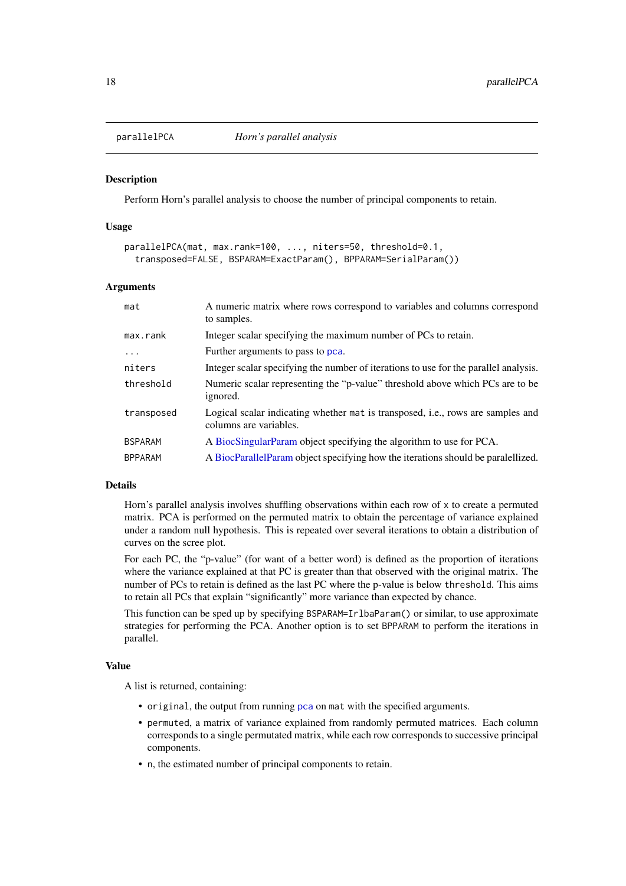<span id="page-17-0"></span>

#### Description

Perform Horn's parallel analysis to choose the number of principal components to retain.

### Usage

```
parallelPCA(mat, max.rank=100, ..., niters=50, threshold=0.1,
  transposed=FALSE, BSPARAM=ExactParam(), BPPARAM=SerialParam())
```
#### Arguments

| mat            | A numeric matrix where rows correspond to variables and columns correspond<br>to samples.                 |
|----------------|-----------------------------------------------------------------------------------------------------------|
| $max$ . $rank$ | Integer scalar specifying the maximum number of PCs to retain.                                            |
| .              | Further arguments to pass to pca.                                                                         |
| niters         | Integer scalar specifying the number of iterations to use for the parallel analysis.                      |
| threshold      | Numeric scalar representing the "p-value" threshold above which PCs are to be<br>ignored.                 |
| transposed     | Logical scalar indicating whether mat is transposed, i.e., rows are samples and<br>columns are variables. |
| <b>BSPARAM</b> | A BiocSingularParam object specifying the algorithm to use for PCA.                                       |
| <b>BPPARAM</b> | A BiocParallelParam object specifying how the iterations should be paralellized.                          |

#### Details

Horn's parallel analysis involves shuffling observations within each row of x to create a permuted matrix. PCA is performed on the permuted matrix to obtain the percentage of variance explained under a random null hypothesis. This is repeated over several iterations to obtain a distribution of curves on the scree plot.

For each PC, the "p-value" (for want of a better word) is defined as the proportion of iterations where the variance explained at that PC is greater than that observed with the original matrix. The number of PCs to retain is defined as the last PC where the p-value is below threshold. This aims to retain all PCs that explain "significantly" more variance than expected by chance.

This function can be sped up by specifying BSPARAM=IrlbaParam() or similar, to use approximate strategies for performing the PCA. Another option is to set BPPARAM to perform the iterations in parallel.

#### Value

A list is returned, containing:

- original, the output from running [pca](#page-18-1) on mat with the specified arguments.
- permuted, a matrix of variance explained from randomly permuted matrices. Each column corresponds to a single permutated matrix, while each row corresponds to successive principal components.
- n, the estimated number of principal components to retain.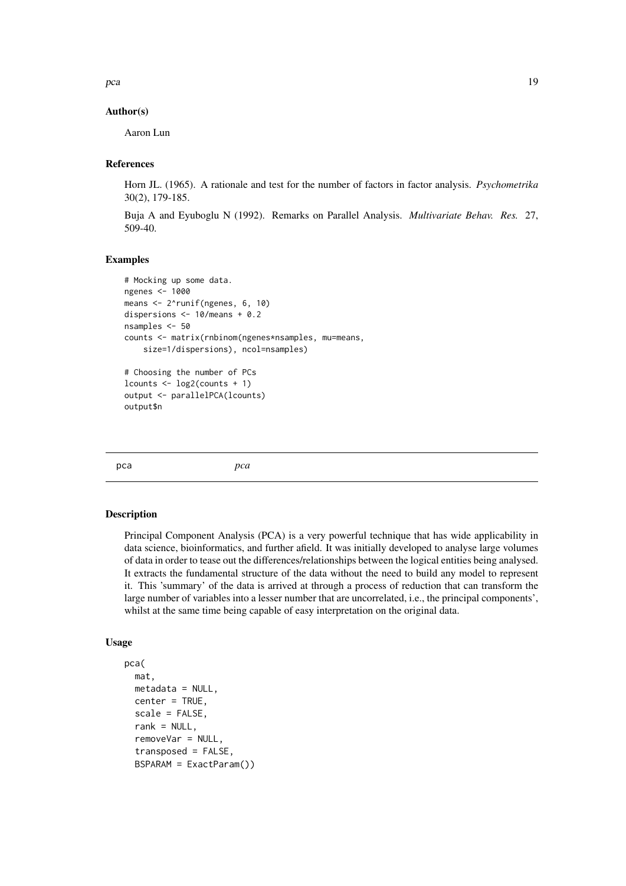<span id="page-18-0"></span>pca and the set of the set of the set of the set of the set of the set of the set of the set of the set of the set of the set of the set of the set of the set of the set of the set of the set of the set of the set of the s

#### Author(s)

Aaron Lun

#### References

Horn JL. (1965). A rationale and test for the number of factors in factor analysis. *Psychometrika* 30(2), 179-185.

Buja A and Eyuboglu N (1992). Remarks on Parallel Analysis. *Multivariate Behav. Res.* 27, 509-40.

#### Examples

```
# Mocking up some data.
ngenes <- 1000
means <- 2^runif(ngenes, 6, 10)
dispersions <- 10/means + 0.2
nsamples <- 50
counts <- matrix(rnbinom(ngenes*nsamples, mu=means,
    size=1/dispersions), ncol=nsamples)
# Choosing the number of PCs
lcounts \leq -\log 2(counts + 1)
output <- parallelPCA(lcounts)
output$n
```
<span id="page-18-1"></span>pca *pca*

#### Description

Principal Component Analysis (PCA) is a very powerful technique that has wide applicability in data science, bioinformatics, and further afield. It was initially developed to analyse large volumes of data in order to tease out the differences/relationships between the logical entities being analysed. It extracts the fundamental structure of the data without the need to build any model to represent it. This 'summary' of the data is arrived at through a process of reduction that can transform the large number of variables into a lesser number that are uncorrelated, i.e., the principal components', whilst at the same time being capable of easy interpretation on the original data.

```
pca(
  mat,
  metadata = NULL,center = TRUE,
  scale = FALSE,
  rank = NULL,
  removeVar = NULL,
  transposed = FALSE,
  BSPARAM = ExactParam())
```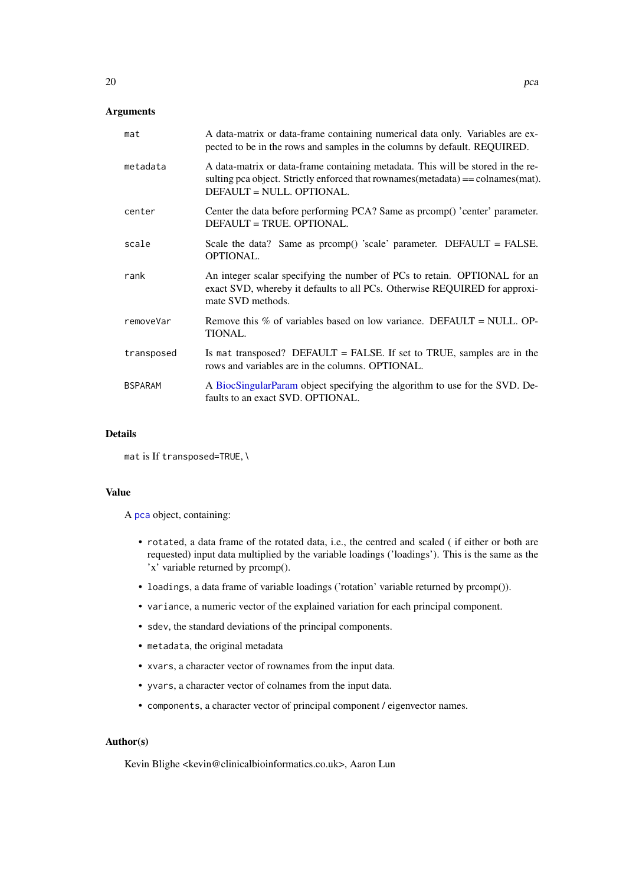## <span id="page-19-0"></span>Arguments

| mat            | A data-matrix or data-frame containing numerical data only. Variables are ex-<br>pected to be in the rows and samples in the columns by default. REQUIRED.                                        |
|----------------|---------------------------------------------------------------------------------------------------------------------------------------------------------------------------------------------------|
| metadata       | A data-matrix or data-frame containing metadata. This will be stored in the re-<br>sulting pca object. Strictly enforced that rownames (metadata) == colnames (mat).<br>DEFAULT = NULL. OPTIONAL. |
| center         | Center the data before performing PCA? Same as promp() 'center' parameter.<br>DEFAULT = TRUE. OPTIONAL.                                                                                           |
| scale          | Scale the data? Same as $preomp()$ 'scale' parameter. DEFAULT = FALSE.<br><b>OPTIONAL.</b>                                                                                                        |
| rank           | An integer scalar specifying the number of PCs to retain. OPTIONAL for an<br>exact SVD, whereby it defaults to all PCs. Otherwise REQUIRED for approxi-<br>mate SVD methods.                      |
| removeVar      | Remove this % of variables based on low variance. DEFAULT = NULL. OP-<br>TIONAL.                                                                                                                  |
| transposed     | Is mat transposed? DEFAULT = FALSE. If set to TRUE, samples are in the<br>rows and variables are in the columns. OPTIONAL.                                                                        |
| <b>BSPARAM</b> | A BiocSingularParam object specifying the algorithm to use for the SVD. De-<br>faults to an exact SVD. OPTIONAL.                                                                                  |

#### Details

```
mat is If transposed=TRUE, \
```
#### Value

A [pca](#page-18-1) object, containing:

- rotated, a data frame of the rotated data, i.e., the centred and scaled ( if either or both are requested) input data multiplied by the variable loadings ('loadings'). This is the same as the 'x' variable returned by prcomp().
- loadings, a data frame of variable loadings ('rotation' variable returned by prcomp()).
- variance, a numeric vector of the explained variation for each principal component.
- sdev, the standard deviations of the principal components.
- metadata, the original metadata
- xvars, a character vector of rownames from the input data.
- yvars, a character vector of colnames from the input data.
- components, a character vector of principal component / eigenvector names.

## Author(s)

Kevin Blighe <kevin@clinicalbioinformatics.co.uk>, Aaron Lun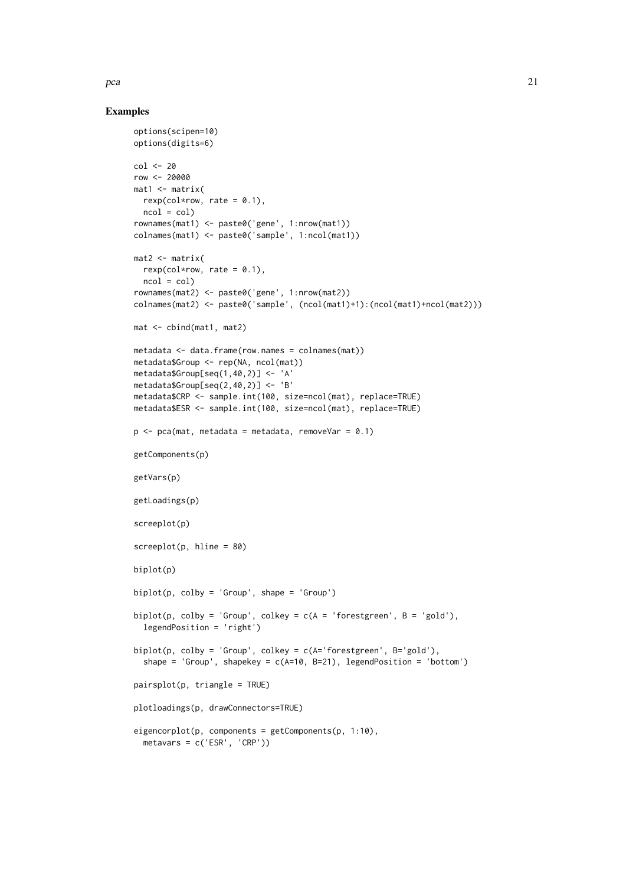#### Examples

```
options(scipen=10)
options(digits=6)
col <- 20
row <- 20000
mat1 <- matrix(rexp(col*row, rate = 0.1),
 ncol = colrownames(mat1) <- paste0('gene', 1:nrow(mat1))
colnames(mat1) <- paste0('sample', 1:ncol(mat1))
mat2 <- matrix(
 rexp(col*row, rate = 0.1),
 ncol = colrownames(mat2) <- paste0('gene', 1:nrow(mat2))
colnames(mat2) <- paste0('sample', (ncol(mat1)+1):(ncol(mat1)+ncol(mat2)))
mat <- cbind(mat1, mat2)
metadata <- data.frame(row.names = colnames(mat))
metadata$Group <- rep(NA, ncol(mat))
metadata$Group[seq(1,40,2)] <- 'A'
metadata$Group[seq(2,40,2)] <- 'B'
metadata$CRP <- sample.int(100, size=ncol(mat), replace=TRUE)
metadata$ESR <- sample.int(100, size=ncol(mat), replace=TRUE)
p \leq -pca(mat, metadata = metadata, removeVar = 0.1)getComponents(p)
getVars(p)
getLoadings(p)
screeplot(p)
screeplot(p, hline = 80)
biplot(p)
biplot(p, colby = 'Group', shape = 'Group')
biplot(p, colby = 'Group', colkey = c(A = 'forestgreen', B = 'gold'),legendPosition = 'right')
biplot(p, colby = 'Group', colkey = c(A='forestgreen', B='gold'),
  shape = 'Group', shapekey = c(A=10, B=21), legendPosition = 'bottom')
pairsplot(p, triangle = TRUE)
plotloadings(p, drawConnectors=TRUE)
eigencorplot(p, components = getComponents(p, 1:10),
  metavars = c('ESR', 'CRP'))
```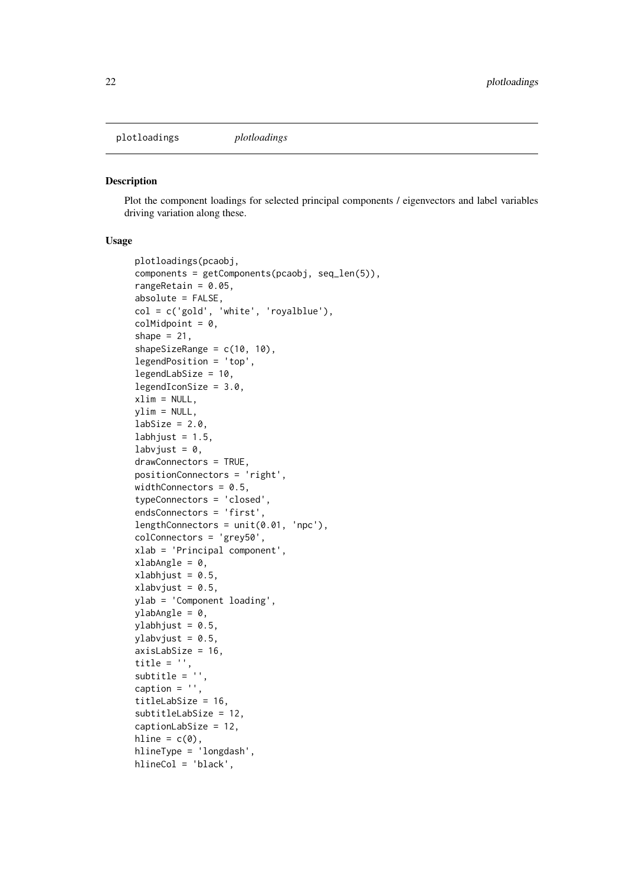<span id="page-21-0"></span>plotloadings *plotloadings*

#### Description

Plot the component loadings for selected principal components / eigenvectors and label variables driving variation along these.

```
plotloadings(pcaobj,
components = getComponents(pcaobj, seq_len(5)),
rangeRetain = 0.05,
absolute = FALSE,
col = c('gold', 'white', 'royalblue'),
colMidpoint = 0,
shape = 21,
shapeSizeRange = c(10, 10),
legendPosition = 'top',
legendLabSize = 10,
legendIconSize = 3.0,
xlim = NULL,ylim = NULL,
labSize = 2.0,
labhjust = 1.5,
labvjust = 0,
drawConnectors = TRUE,
positionConnectors = 'right',
widthConnectors = 0.5,
typeConnectors = 'closed',
endsConnectors = 'first',
lengthConnectors = unit(0.01, 'npc'),
colConnectors = 'grey50',
xlab = 'Principal component',
xlabAngle = 0,
xlabhjust = 0.5,
xlabvjust = 0.5,
ylab = 'Component loading',
ylabAngle = 0,
ylabhjust = 0.5,
ylabvjust = 0.5,
axisLabSize = 16,
title = ''.
subtitle = '.
caption = ',
titleLabSize = 16,
subtitleLabSize = 12,
captionLabSize = 12,
hline = c(\emptyset),
hlineType = 'longdash',
hlineCol = 'black',
```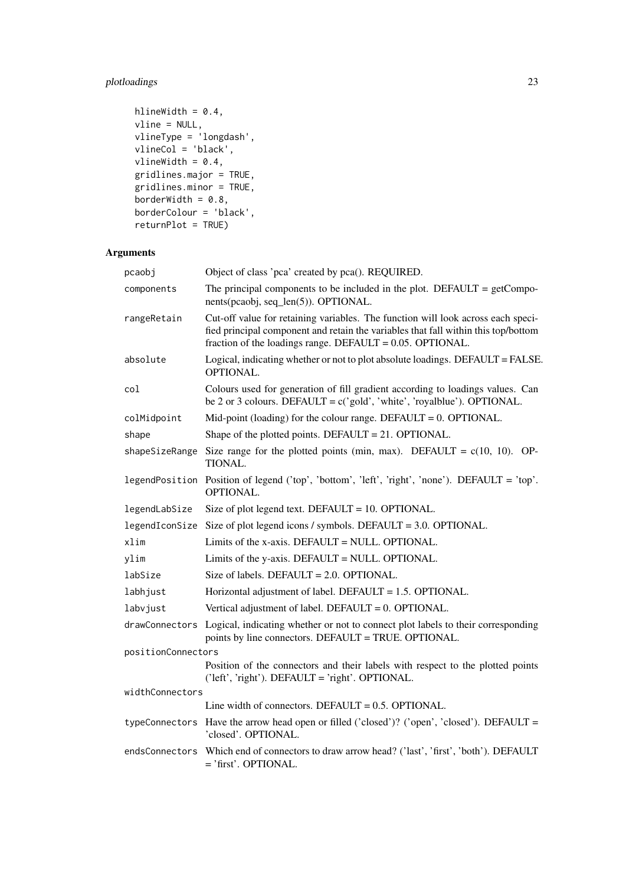## plotloadings 23

```
hlineWidth = 0.4,
vline = NULL,
vlineType = 'longdash',
vlineCol = 'black',
vlineWidth = 0.4,
gridlines.major = TRUE,
gridlines.minor = TRUE,
borderWidth = 0.8,
borderColour = 'black',
returnPlot = TRUE)
```
## Arguments

| pcaobj             | Object of class 'pca' created by pca(). REQUIRED.                                                                                                                                                                                      |
|--------------------|----------------------------------------------------------------------------------------------------------------------------------------------------------------------------------------------------------------------------------------|
| components         | The principal components to be included in the plot. DEFAULT = $getCompo$ -<br>nents(pcaobj, seq_len(5)). OPTIONAL.                                                                                                                    |
| rangeRetain        | Cut-off value for retaining variables. The function will look across each speci-<br>fied principal component and retain the variables that fall within this top/bottom<br>fraction of the loadings range. DEFAULT = $0.05$ . OPTIONAL. |
| absolute           | Logical, indicating whether or not to plot absolute loadings. DEFAULT = FALSE.<br>OPTIONAL.                                                                                                                                            |
| col                | Colours used for generation of fill gradient according to loadings values. Can<br>be 2 or 3 colours. DEFAULT = $c$ ('gold', 'white', 'royalblue'). OPTIONAL.                                                                           |
| colMidpoint        | Mid-point (loading) for the colour range. DEFAULT = $0$ . OPTIONAL.                                                                                                                                                                    |
| shape              | Shape of the plotted points. DEFAULT = $21$ . OPTIONAL.                                                                                                                                                                                |
| shapeSizeRange     | Size range for the plotted points (min, max). DEFAULT = $c(10, 10)$ . OP-<br>TIONAL.                                                                                                                                                   |
|                    | legendPosition Position of legend ('top', 'bottom', 'left', 'right', 'none'). DEFAULT = 'top'.<br><b>OPTIONAL.</b>                                                                                                                     |
| legendLabSize      | Size of plot legend text. DEFAULT = $10$ . OPTIONAL.                                                                                                                                                                                   |
|                    | legendIconSize Size of plot legend icons / symbols. DEFAULT = $3.0$ . OPTIONAL.                                                                                                                                                        |
| xlim               | Limits of the x-axis. DEFAULT = NULL. OPTIONAL.                                                                                                                                                                                        |
| ylim               | Limits of the y-axis. DEFAULT = NULL. OPTIONAL.                                                                                                                                                                                        |
| labSize            | Size of labels. DEFAULT = $2.0$ . OPTIONAL.                                                                                                                                                                                            |
| labhjust           | Horizontal adjustment of label. DEFAULT = 1.5. OPTIONAL.                                                                                                                                                                               |
| labvjust           | Vertical adjustment of label. DEFAULT = $0$ . OPTIONAL.                                                                                                                                                                                |
| drawConnectors     | Logical, indicating whether or not to connect plot labels to their corresponding<br>points by line connectors. DEFAULT = TRUE. OPTIONAL.                                                                                               |
| positionConnectors |                                                                                                                                                                                                                                        |
|                    | Position of the connectors and their labels with respect to the plotted points<br>('left', 'right'). DEFAULT = 'right'. OPTIONAL.                                                                                                      |
| widthConnectors    |                                                                                                                                                                                                                                        |
|                    | Line width of connectors. DEFAULT = $0.5$ . OPTIONAL.                                                                                                                                                                                  |
|                    | typeConnectors Have the arrow head open or filled ('closed')? ('open', 'closed'). DEFAULT =<br>'closed'. OPTIONAL.                                                                                                                     |
|                    | endsConnectors Which end of connectors to draw arrow head? ('last', 'first', 'both'). DEFAULT<br>$=$ 'first'. OPTIONAL.                                                                                                                |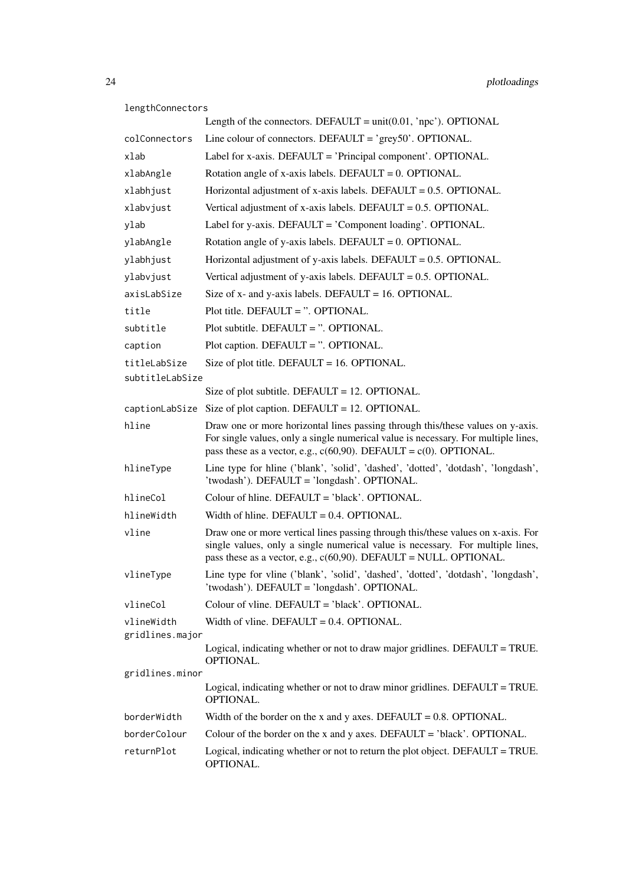#### lengthConnectors

|                               | Length of the connectors. DEFAULT = $unit(0.01, 'npc')$ . OPTIONAL                                                                                                                                                                         |
|-------------------------------|--------------------------------------------------------------------------------------------------------------------------------------------------------------------------------------------------------------------------------------------|
| colConnectors                 | Line colour of connectors. DEFAULT = $\degree$ grey50'. OPTIONAL.                                                                                                                                                                          |
| xlab                          | Label for x-axis. DEFAULT = 'Principal component'. OPTIONAL.                                                                                                                                                                               |
| xlabAngle                     | Rotation angle of x-axis labels. DEFAULT = $0$ . OPTIONAL.                                                                                                                                                                                 |
| xlabhjust                     | Horizontal adjustment of x-axis labels. DEFAULT = $0.5$ . OPTIONAL.                                                                                                                                                                        |
| xlabvjust                     | Vertical adjustment of x-axis labels. DEFAULT = $0.5$ . OPTIONAL.                                                                                                                                                                          |
| ylab                          | Label for y-axis. DEFAULT = 'Component loading'. OPTIONAL.                                                                                                                                                                                 |
| ylabAngle                     | Rotation angle of y-axis labels. DEFAULT = $0$ . OPTIONAL.                                                                                                                                                                                 |
| ylabhjust                     | Horizontal adjustment of y-axis labels. DEFAULT = $0.5$ . OPTIONAL.                                                                                                                                                                        |
| ylabvjust                     | Vertical adjustment of y-axis labels. DEFAULT = $0.5$ . OPTIONAL.                                                                                                                                                                          |
| axisLabSize                   | Size of $x$ - and $y$ -axis labels. DEFAULT = 16. OPTIONAL.                                                                                                                                                                                |
| title                         | Plot title. DEFAULT = $\degree$ . OPTIONAL.                                                                                                                                                                                                |
| subtitle                      | Plot subtitle. DEFAULT = $\degree$ . OPTIONAL.                                                                                                                                                                                             |
| caption                       | Plot caption. DEFAULT = ". OPTIONAL.                                                                                                                                                                                                       |
| titleLabSize                  | Size of plot title. DEFAULT = $16.$ OPTIONAL.                                                                                                                                                                                              |
| subtitleLabSize               | Size of plot subtitle. DEFAULT = $12$ . OPTIONAL.                                                                                                                                                                                          |
|                               | $captionLabSize$ Size of plot caption. DEFAULT = 12. OPTIONAL.                                                                                                                                                                             |
| hline                         | Draw one or more horizontal lines passing through this/these values on y-axis.                                                                                                                                                             |
|                               | For single values, only a single numerical value is necessary. For multiple lines,<br>pass these as a vector, e.g., $c(60,90)$ . DEFAULT = $c(0)$ . OPTIONAL.                                                                              |
| hlineType                     | Line type for hline ('blank', 'solid', 'dashed', 'dotted', 'dotdash', 'longdash',<br>'twodash'). DEFAULT = 'longdash'. OPTIONAL.                                                                                                           |
| hlineCol                      | Colour of hline. DEFAULT = $'black'$ . OPTIONAL.                                                                                                                                                                                           |
| hlineWidth                    | Width of hline. DEFAULT = $0.4$ . OPTIONAL.                                                                                                                                                                                                |
| vline                         | Draw one or more vertical lines passing through this/these values on x-axis. For<br>single values, only a single numerical value is necessary. For multiple lines,<br>pass these as a vector, e.g., $c(60,90)$ . DEFAULT = NULL. OPTIONAL. |
| vlineType                     | Line type for vline ('blank', 'solid', 'dashed', 'dotted', 'dotdash', 'longdash',<br>'twodash'). DEFAULT = 'longdash'. OPTIONAL.                                                                                                           |
| vlineCol                      | Colour of vline. DEFAULT = 'black'. OPTIONAL.                                                                                                                                                                                              |
| vlineWidth<br>gridlines.major | Width of vline. DEFAULT = $0.4$ . OPTIONAL.                                                                                                                                                                                                |
|                               | Logical, indicating whether or not to draw major gridlines. DEFAULT = TRUE.<br>OPTIONAL.                                                                                                                                                   |
| gridlines.minor               |                                                                                                                                                                                                                                            |
|                               | Logical, indicating whether or not to draw minor gridlines. DEFAULT = TRUE.<br>OPTIONAL.                                                                                                                                                   |
| borderWidth                   | Width of the border on the x and y axes. DEFAULT = $0.8$ . OPTIONAL.                                                                                                                                                                       |
| borderColour                  | Colour of the border on the x and y axes. DEFAULT = $'black'$ . OPTIONAL.                                                                                                                                                                  |
| returnPlot                    | Logical, indicating whether or not to return the plot object. DEFAULT = TRUE.<br>OPTIONAL.                                                                                                                                                 |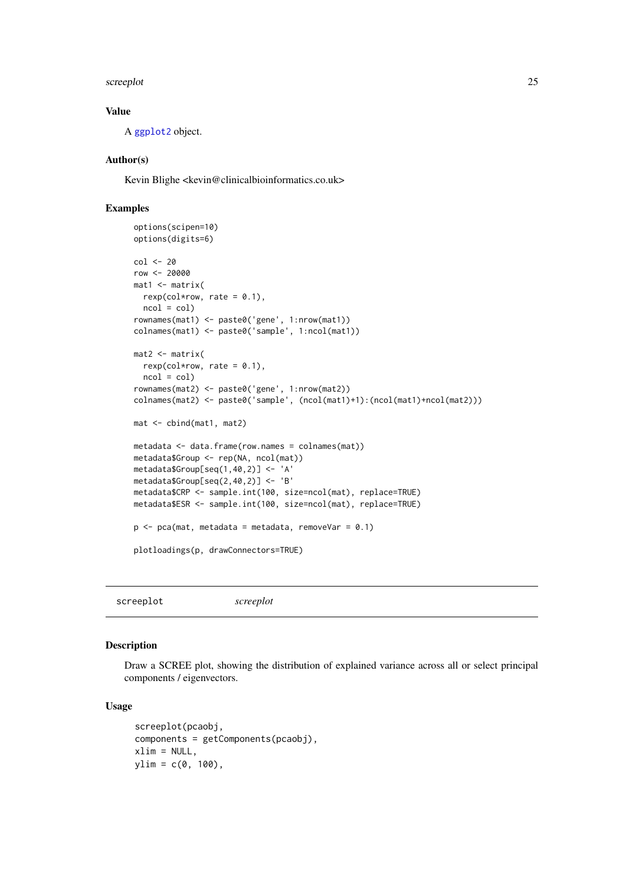<span id="page-24-0"></span>screeplot 25

#### Value

A [ggplot2](#page-0-0) object.

## Author(s)

Kevin Blighe <kevin@clinicalbioinformatics.co.uk>

#### Examples

```
options(scipen=10)
options(digits=6)
col <- 20
row <- 20000
mat1 <- matrix(
 rexp(col*row, rate = 0.1),
 ncol = colrownames(mat1) <- paste0('gene', 1:nrow(mat1))
colnames(mat1) <- paste0('sample', 1:ncol(mat1))
mat2 < -matrixrexp(col*row, rate = 0.1),
 ncol = colrownames(mat2) <- paste0('gene', 1:nrow(mat2))
colnames(mat2) <- paste0('sample', (ncol(mat1)+1):(ncol(mat1)+ncol(mat2)))
mat <- cbind(mat1, mat2)
metadata <- data.frame(row.names = colnames(mat))
metadata$Group <- rep(NA, ncol(mat))
metadata$Group[seq(1,40,2)] <- 'A'
metadata$Group[seq(2,40,2)] <- 'B'
metadata$CRP <- sample.int(100, size=ncol(mat), replace=TRUE)
metadata$ESR <- sample.int(100, size=ncol(mat), replace=TRUE)
p \leq -pca(mat, metadata = metadata, removeVar = 0.1)plotloadings(p, drawConnectors=TRUE)
```
screeplot *screeplot*

#### Description

Draw a SCREE plot, showing the distribution of explained variance across all or select principal components / eigenvectors.

```
screeplot(pcaobj,
components = getComponents(pcaobj),
xlim = NULL,ylim = c(0, 100),
```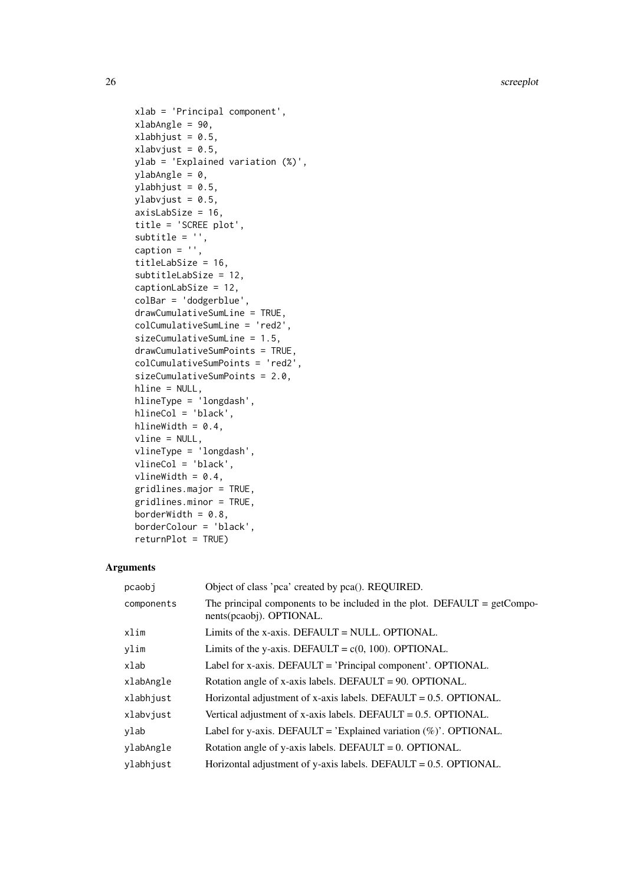```
xlab = 'Principal component',
xlabAngle = 90,
xlabhjust = 0.5,
xlabvjust = 0.5,
ylab = 'Explained variation (%)',
ylabAngle = 0,
ylabhjust = 0.5,
ylabvjust = 0.5,
axisLabSize = 16,
title = 'SCREE plot',
subtitle = ',
caption = ',
titleLabSize = 16,
subtitleLabSize = 12,
captionLabSize = 12,
colBar = 'dodgerblue',
drawCumulativeSumLine = TRUE,
colCumulativeSumLine = 'red2',
sizeCumulativeSumLine = 1.5,
drawCumulativeSumPoints = TRUE,
colCumulativeSumPoints = 'red2',
sizeCumulativeSumPoints = 2.0,
hline = NULL,
hlineType = 'longdash',
hlineCol = 'black',
hlineWidth = 0.4,
vline = NULL,
vlineType = 'longdash',
vlineCol = 'black',
vlineWidth = 0.4,
gridlines.major = TRUE,
gridlines.minor = TRUE,
borderWidth = 0.8,
borderColour = 'black',
returnPlot = TRUE)
```
#### Arguments

| pcaobi     | Object of class 'pca' created by pca(). REQUIRED.                                                       |
|------------|---------------------------------------------------------------------------------------------------------|
| components | The principal components to be included in the plot. DEFAULT = $getCompo$ -<br>nents(pcaobj). OPTIONAL. |
| xlim       | Limits of the x-axis. DEFAULT = NULL. OPTIONAL.                                                         |
| ylim       | Limits of the y-axis. DEFAULT = $c(0, 100)$ . OPTIONAL.                                                 |
| xlab       | Label for x-axis. DEFAULT = 'Principal component'. OPTIONAL.                                            |
| xlabAngle  | Rotation angle of x-axis labels. DEFAULT = 90. OPTIONAL.                                                |
| xlabhjust  | Horizontal adjustment of x-axis labels. DEFAULT = $0.5$ . OPTIONAL.                                     |
| xlabvjust  | Vertical adjustment of x-axis labels. DEFAULT = $0.5$ . OPTIONAL.                                       |
| ylab       | Label for y-axis. DEFAULT = 'Explained variation $(\%)$ '. OPTIONAL.                                    |
| ylabAngle  | Rotation angle of y-axis labels. DEFAULT = $0$ . OPTIONAL.                                              |
| ylabhjust  | Horizontal adjustment of y-axis labels. DEFAULT = $0.5$ . OPTIONAL.                                     |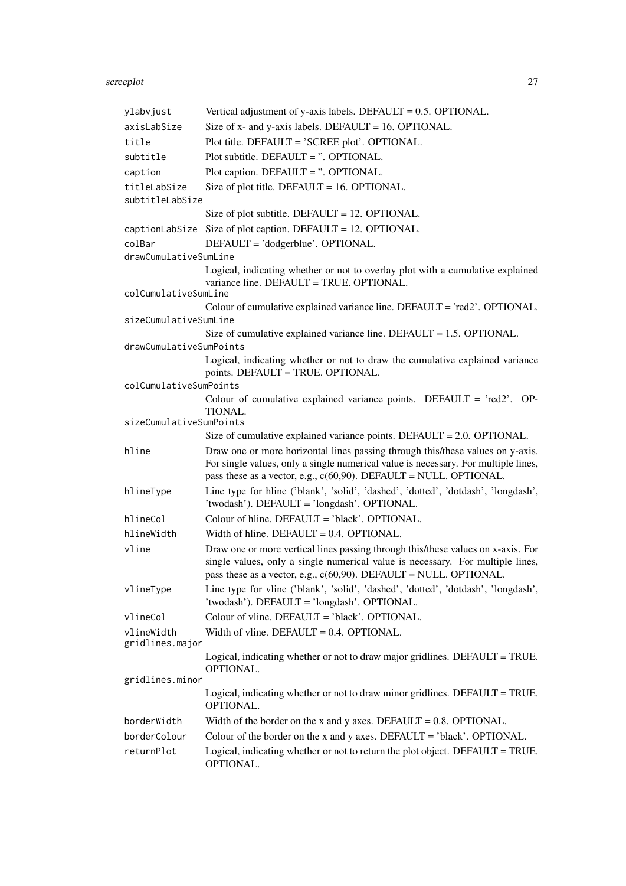#### screeplot 27

| ylabvjust                     | Vertical adjustment of y-axis labels. DEFAULT = $0.5$ . OPTIONAL.                                                                                                                                                                            |
|-------------------------------|----------------------------------------------------------------------------------------------------------------------------------------------------------------------------------------------------------------------------------------------|
| axisLabSize                   | Size of $x$ - and $y$ -axis labels. DEFAULT = 16. OPTIONAL.                                                                                                                                                                                  |
| title                         | Plot title. DEFAULT = 'SCREE plot'. OPTIONAL.                                                                                                                                                                                                |
| subtitle                      | Plot subtitle. DEFAULT = ". OPTIONAL.                                                                                                                                                                                                        |
| caption                       | Plot caption. DEFAULT = ". OPTIONAL.                                                                                                                                                                                                         |
| titleLabSize                  | Size of plot title. DEFAULT = $16.$ OPTIONAL.                                                                                                                                                                                                |
| subtitleLabSize               |                                                                                                                                                                                                                                              |
|                               | Size of plot subtitle. DEFAULT = $12$ . OPTIONAL.                                                                                                                                                                                            |
|                               | captionLabSize Size of plot caption. DEFAULT = 12. OPTIONAL.                                                                                                                                                                                 |
| colBar                        | DEFAULT = 'dodgerblue'. OPTIONAL.                                                                                                                                                                                                            |
| drawCumulativeSumLine         |                                                                                                                                                                                                                                              |
| colCumulativeSumLine          | Logical, indicating whether or not to overlay plot with a cumulative explained<br>variance line. DEFAULT = TRUE. OPTIONAL.                                                                                                                   |
|                               | Colour of cumulative explained variance line. DEFAULT = 'red2'. OPTIONAL.                                                                                                                                                                    |
| sizeCumulativeSumLine         |                                                                                                                                                                                                                                              |
|                               | Size of cumulative explained variance line. DEFAULT = $1.5$ . OPTIONAL.                                                                                                                                                                      |
| drawCumulativeSumPoints       |                                                                                                                                                                                                                                              |
|                               | Logical, indicating whether or not to draw the cumulative explained variance<br>points. DEFAULT = TRUE. OPTIONAL.                                                                                                                            |
| colCumulativeSumPoints        |                                                                                                                                                                                                                                              |
|                               | Colour of cumulative explained variance points. DEFAULT = 'red2'. OP-<br>TIONAL.                                                                                                                                                             |
| sizeCumulativeSumPoints       |                                                                                                                                                                                                                                              |
|                               | Size of cumulative explained variance points. DEFAULT = $2.0$ . OPTIONAL.                                                                                                                                                                    |
| hline                         | Draw one or more horizontal lines passing through this/these values on y-axis.<br>For single values, only a single numerical value is necessary. For multiple lines,<br>pass these as a vector, e.g., $c(60,90)$ . DEFAULT = NULL. OPTIONAL. |
| hlineType                     | Line type for hline ('blank', 'solid', 'dashed', 'dotted', 'dotdash', 'longdash',<br>'twodash'). DEFAULT = 'longdash'. OPTIONAL.                                                                                                             |
| hlineCol                      | Colour of hline. DEFAULT = $'black'$ . OPTIONAL.                                                                                                                                                                                             |
| hlineWidth                    | Width of hline. DEFAULT = $0.4$ . OPTIONAL.                                                                                                                                                                                                  |
| vline                         | Draw one or more vertical lines passing through this/these values on x-axis. For<br>single values, only a single numerical value is necessary. For multiple lines,<br>pass these as a vector, e.g., $c(60,90)$ . DEFAULT = NULL. OPTIONAL.   |
| vlineType                     | Line type for vline ('blank', 'solid', 'dashed', 'dotted', 'dotdash', 'longdash',<br>'twodash'). DEFAULT = 'longdash'. OPTIONAL.                                                                                                             |
| vlineCol                      | Colour of vline. DEFAULT = 'black'. OPTIONAL.                                                                                                                                                                                                |
| vlineWidth<br>gridlines.major | Width of vline. DEFAULT = $0.4$ . OPTIONAL.                                                                                                                                                                                                  |
|                               | Logical, indicating whether or not to draw major gridlines. DEFAULT = TRUE.<br>OPTIONAL.                                                                                                                                                     |
| gridlines.minor               |                                                                                                                                                                                                                                              |
|                               | Logical, indicating whether or not to draw minor gridlines. DEFAULT = TRUE.<br>OPTIONAL.                                                                                                                                                     |
| borderWidth                   | Width of the border on the x and y axes. DEFAULT = $0.8$ . OPTIONAL.                                                                                                                                                                         |
| borderColour                  | Colour of the border on the x and y axes. DEFAULT = $'black'$ . OPTIONAL.                                                                                                                                                                    |
| returnPlot                    | Logical, indicating whether or not to return the plot object. DEFAULT = TRUE.<br>OPTIONAL.                                                                                                                                                   |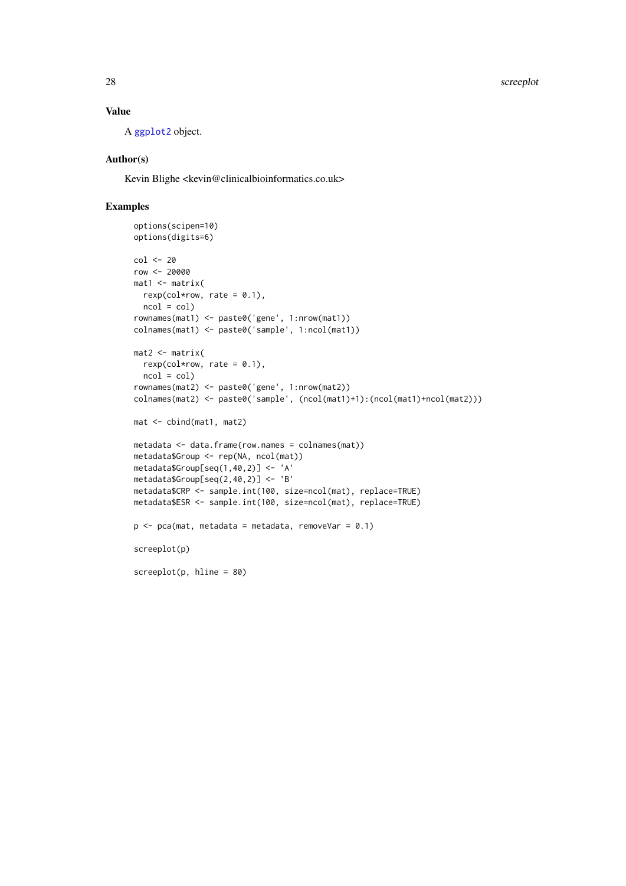<span id="page-27-0"></span>28 screeplot that the contract of the contract of the contract of the contract of the contract of the contract of the contract of the contract of the contract of the contract of the contract of the contract of the contract

## Value

A [ggplot2](#page-0-0) object.

#### Author(s)

Kevin Blighe <kevin@clinicalbioinformatics.co.uk>

#### Examples

```
options(scipen=10)
options(digits=6)
col <- 20
row <- 20000
mat1 <- matrix(
 rexp(col*row, rate = 0.1),
 ncol = colrownames(mat1) <- paste0('gene', 1:nrow(mat1))
colnames(mat1) <- paste0('sample', 1:ncol(mat1))
mat2 <- matrix(
 rexp(col*row, rate = 0.1),
 ncol = colrownames(mat2) <- paste0('gene', 1:nrow(mat2))
colnames(mat2) <- paste0('sample', (ncol(mat1)+1):(ncol(mat1)+ncol(mat2)))
mat <- cbind(mat1, mat2)
metadata <- data.frame(row.names = colnames(mat))
metadata$Group <- rep(NA, ncol(mat))
metadata$Group[seq(1,40,2)] <- 'A'
metadata$Group[seq(2,40,2)] <- 'B'
metadata$CRP <- sample.int(100, size=ncol(mat), replace=TRUE)
metadata$ESR <- sample.int(100, size=ncol(mat), replace=TRUE)
p \leq -pca(mat, metadata = metadata, removeVar = 0.1)screeplot(p)
screeplot(p, hline = 80)
```